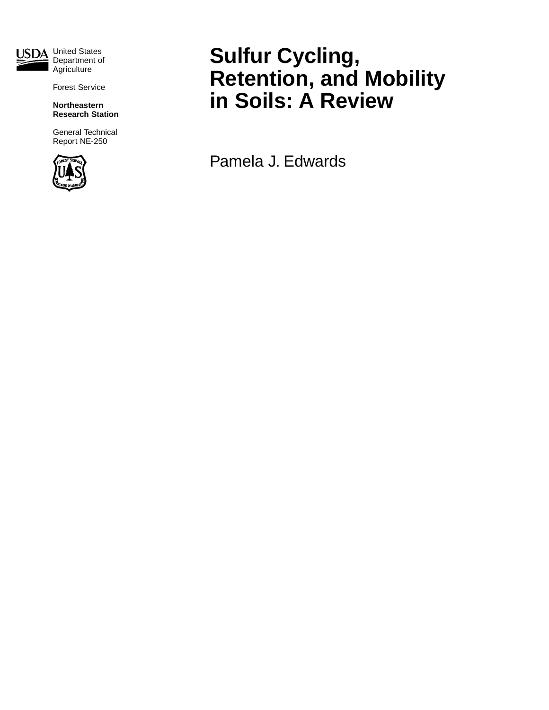

Department of **Agriculture** 

Forest Service

**Northeastern Research Station**

General Technical Report NE-250



# **Sulfur Cycling, Retention, and Mobility in Soils: A Review**

Pamela J. Edwards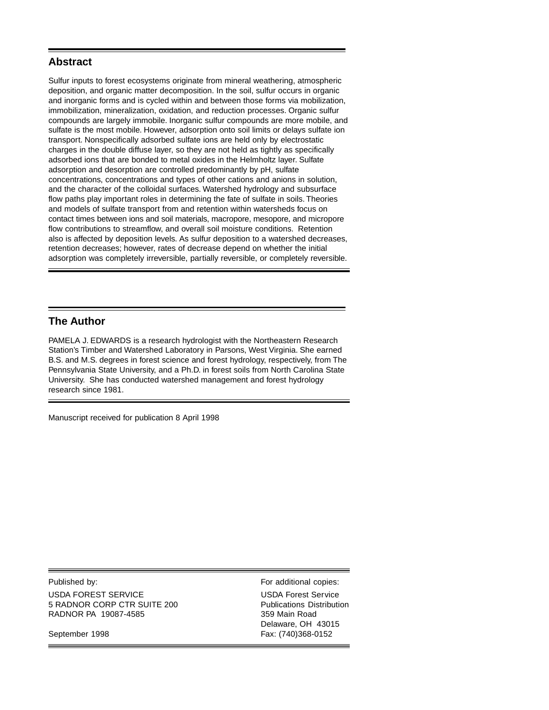## **Abstract**

Sulfur inputs to forest ecosystems originate from mineral weathering, atmospheric deposition, and organic matter decomposition. In the soil, sulfur occurs in organic and inorganic forms and is cycled within and between those forms via mobilization, immobilization, mineralization, oxidation, and reduction processes. Organic sulfur compounds are largely immobile. Inorganic sulfur compounds are more mobile, and sulfate is the most mobile. However, adsorption onto soil limits or delays sulfate ion transport. Nonspecifically adsorbed sulfate ions are held only by electrostatic charges in the double diffuse layer, so they are not held as tightly as specifically adsorbed ions that are bonded to metal oxides in the Helmholtz layer. Sulfate adsorption and desorption are controlled predominantly by pH, sulfate concentrations, concentrations and types of other cations and anions in solution, and the character of the colloidal surfaces. Watershed hydrology and subsurface flow paths play important roles in determining the fate of sulfate in soils. Theories and models of sulfate transport from and retention within watersheds focus on contact times between ions and soil materials, macropore, mesopore, and micropore flow contributions to streamflow, and overall soil moisture conditions. Retention also is affected by deposition levels. As sulfur deposition to a watershed decreases, retention decreases; however, rates of decrease depend on whether the initial adsorption was completely irreversible, partially reversible, or completely reversible.

## **The Author**

PAMELA J. EDWARDS is a research hydrologist with the Northeastern Research Station's Timber and Watershed Laboratory in Parsons, West Virginia. She earned B.S. and M.S. degrees in forest science and forest hydrology, respectively, from The Pennsylvania State University, and a Ph.D. in forest soils from North Carolina State University. She has conducted watershed management and forest hydrology research since 1981.

Manuscript received for publication 8 April 1998

Published by: For additional copies: USDA FOREST SERVICE USDA Forest Service 5 RADNOR CORP CTR SUITE 200 Publications Distribution RADNOR PA 19087-4585 359 Main Road

Delaware, OH 43015 September 1998 Fax: (740)368-0152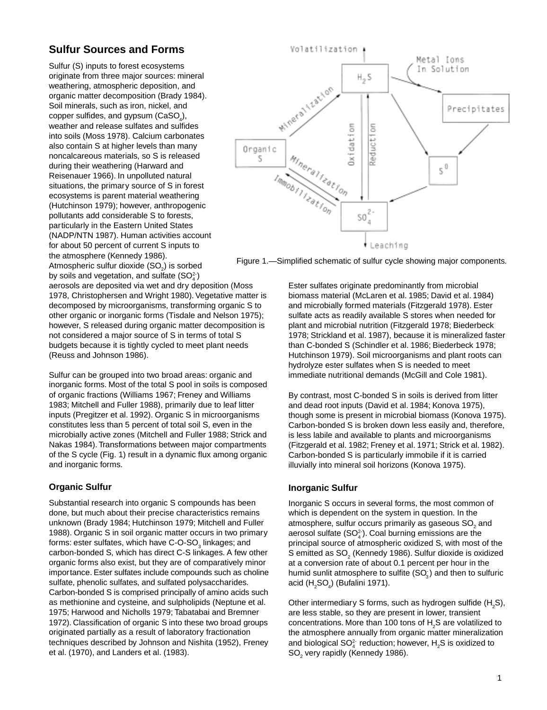# **Sulfur Sources and Forms**

Sulfur (S) inputs to forest ecosystems originate from three major sources: mineral weathering, atmospheric deposition, and organic matter decomposition (Brady 1984). Soil minerals, such as iron, nickel, and  $\mathsf{copper}\ \mathsf{sulfides},$  and gyp $\mathsf{sum}\ (\mathsf{Cas}\mathsf{O}_4),$ weather and release sulfates and sulfides into soils (Moss 1978). Calcium carbonates also contain S at higher levels than many noncalcareous materials, so S is released during their weathering (Harward and Reisenauer 1966). In unpolluted natural situations, the primary source of S in forest ecosystems is parent material weathering (Hutchinson 1979); however, anthropogenic pollutants add considerable S to forests, particularly in the Eastern United States (NADP/NTN 1987). Human activities account for about 50 percent of current S inputs to the atmosphere (Kennedy 1986). Atmospheric sulfur dioxide (SO<sub>2</sub>) is sorbed by soils and vegetation, and sulfate  $(SO_4^2)$ 

aerosols are deposited via wet and dry deposition (Moss 1978, Christophersen and Wright 1980). Vegetative matter is decomposed by microorganisms, transforming organic S to other organic or inorganic forms (Tisdale and Nelson 1975); however, S released during organic matter decomposition is not considered a major source of S in terms of total S budgets because it is tightly cycled to meet plant needs (Reuss and Johnson 1986).

Sulfur can be grouped into two broad areas: organic and inorganic forms. Most of the total S pool in soils is composed of organic fractions (Williams 1967; Freney and Williams 1983; Mitchell and Fuller 1988), primarily due to leaf litter inputs (Pregitzer et al. 1992). Organic S in microorganisms constitutes less than 5 percent of total soil S, even in the microbially active zones (Mitchell and Fuller 1988; Strick and Nakas 1984). Transformations between major compartments of the S cycle (Fig. 1) result in a dynamic flux among organic and inorganic forms.

## **Organic Sulfur**

Substantial research into organic S compounds has been done, but much about their precise characteristics remains unknown (Brady 1984; Hutchinson 1979; Mitchell and Fuller 1988). Organic S in soil organic matter occurs in two primary forms: ester sulfates, which have C-O-SO $_{_3}$  linkages; and carbon-bonded S, which has direct C-S linkages. A few other organic forms also exist, but they are of comparatively minor importance. Ester sulfates include compounds such as choline sulfate, phenolic sulfates, and sulfated polysaccharides. Carbon-bonded S is comprised principally of amino acids such as methionine and cysteine, and sulpholipids (Neptune et al. 1975; Harwood and Nicholls 1979; Tabatabai and Bremner 1972). Classification of organic S into these two broad groups originated partially as a result of laboratory fractionation techniques described by Johnson and Nishita (1952), Freney et al. (1970), and Landers et al. (1983).



Figure 1.—Simplified schematic of sulfur cycle showing major components.

Ester sulfates originate predominantly from microbial biomass material (McLaren et al. 1985; David et al. 1984) and microbially formed materials (Fitzgerald 1978). Ester sulfate acts as readily available S stores when needed for plant and microbial nutrition (Fitzgerald 1978; Biederbeck 1978; Strickland et al. 1987), because it is mineralized faster than C-bonded S (Schindler et al. 1986; Biederbeck 1978; Hutchinson 1979). Soil microorganisms and plant roots can hydrolyze ester sulfates when S is needed to meet immediate nutritional demands (McGill and Cole 1981).

By contrast, most C-bonded S in soils is derived from litter and dead root inputs (David et al. 1984; Konova 1975), though some is present in microbial biomass (Konova 1975). Carbon-bonded S is broken down less easily and, therefore, is less labile and available to plants and microorganisms (Fitzgerald et al. 1982; Freney et al. 1971; Strick et al. 1982). Carbon-bonded S is particularly immobile if it is carried illuvially into mineral soil horizons (Konova 1975).

## **Inorganic Sulfur**

Inorganic S occurs in several forms, the most common of which is dependent on the system in question. In the atmosphere, sulfur occurs primarily as gaseous SO $_{\scriptscriptstyle 2}$  and aerosol sulfate (SO $_4^2$ ). Coal burning emissions are the principal source of atmospheric oxidized S, with most of the S emitted as SO<sub>2</sub> (Kennedy 1986). Sulfur dioxide is oxidized at a conversion rate of about 0.1 percent per hour in the humid sunlit atmosphere to sulfite (SO $_{\!\scriptscriptstyle 3}^{\!\scriptscriptstyle 3}$ ) and then to sulfuric acid (H $_{\textrm{\tiny{2}}}$ SO $_{\textrm{\tiny{4}}}$ ) (Bufalini 1971).

Other intermediary S forms, such as hydrogen sulfide (H<sub>2</sub>S), are less stable, so they are present in lower, transient concentrations. More than 100 tons of  $H_{2}$ S are volatilized to the atmosphere annually from organic matter mineralization and biological SO $_4^2$  reduction; however, H $_2$ S is oxidized to  $\mathsf{SO}_2$  very rapidly (Kennedy 1986).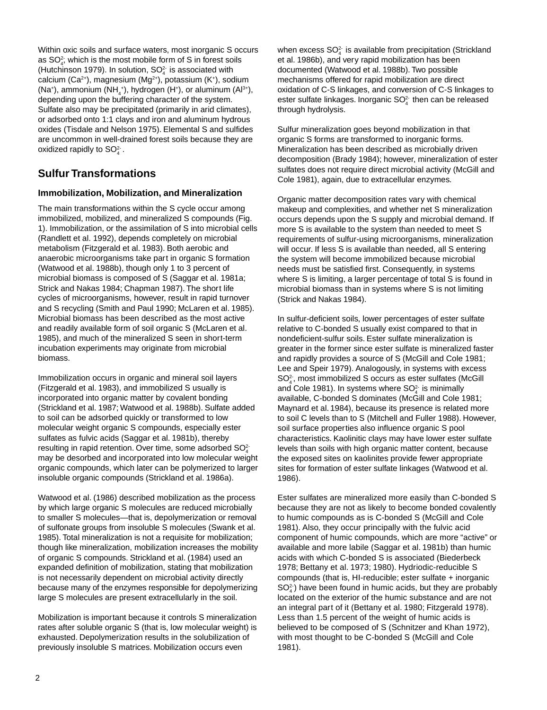Within oxic soils and surface waters, most inorganic S occurs as  $SO<sub>4</sub>$ , which is the most mobile form of S in forest soils (Hutchinson 1979). In solution,  $SO<sub>4</sub><sup>2</sup>$  is associated with calcium (Ca<sup>2+</sup>), magnesium (Mg<sup>2+</sup>), potassium (K<sup>+</sup>), sodium (Na<sup>+</sup>), ammonium (NH<sub>4</sub><sup>+</sup>), hydrogen (H<sup>+</sup>), or aluminum (Al<sup>3+</sup>), depending upon the buffering character of the system. Sulfate also may be precipitated (primarily in arid climates), or adsorbed onto 1:1 clays and iron and aluminum hydrous oxides (Tisdale and Nelson 1975). Elemental S and sulfides are uncommon in well-drained forest soils because they are oxidized rapidly to  $SO<sub>4</sub><sup>2</sup>$ .

# **Sulfur Transformations**

## **Immobilization, Mobilization, and Mineralization**

The main transformations within the S cycle occur among immobilized, mobilized, and mineralized S compounds (Fig. 1). Immobilization, or the assimilation of S into microbial cells (Randlett et al. 1992), depends completely on microbial metabolism (Fitzgerald et al. 1983). Both aerobic and anaerobic microorganisms take part in organic S formation (Watwood et al. 1988b), though only 1 to 3 percent of microbial biomass is composed of S (Saggar et al. 1981a; Strick and Nakas 1984; Chapman 1987). The short life cycles of microorganisms, however, result in rapid turnover and S recycling (Smith and Paul 1990; McLaren et al. 1985). Microbial biomass has been described as the most active and readily available form of soil organic S (McLaren et al. 1985), and much of the mineralized S seen in short-term incubation experiments may originate from microbial biomass.

Immobilization occurs in organic and mineral soil layers (Fitzgerald et al. 1983), and immobilized S usually is incorporated into organic matter by covalent bonding (Strickland et al. 1987; Watwood et al. 1988b). Sulfate added to soil can be adsorbed quickly or transformed to low molecular weight organic S compounds, especially ester sulfates as fulvic acids (Saggar et al. 1981b), thereby resulting in rapid retention. Over time, some adsorbed  $SO<sub>4</sub><sup>2</sup>$ may be desorbed and incorporated into low molecular weight organic compounds, which later can be polymerized to larger insoluble organic compounds (Strickland et al. 1986a).

Watwood et al. (1986) described mobilization as the process by which large organic S molecules are reduced microbially to smaller S molecules—that is, depolymerization or removal of sulfonate groups from insoluble S molecules (Swank et al. 1985). Total mineralization is not a requisite for mobilization; though like mineralization, mobilization increases the mobility of organic S compounds. Strickland et al. (1984) used an expanded definition of mobilization, stating that mobilization is not necessarily dependent on microbial activity directly because many of the enzymes responsible for depolymerizing large S molecules are present extracellularly in the soil.

Mobilization is important because it controls S mineralization rates after soluble organic S (that is, low molecular weight) is exhausted. Depolymerization results in the solubilization of previously insoluble S matrices. Mobilization occurs even

when excess SO $_4^2$  is available from precipitation (Strickland et al. 1986b), and very rapid mobilization has been documented (Watwood et al. 1988b). Two possible mechanisms offered for rapid mobilization are direct oxidation of C-S linkages, and conversion of C-S linkages to ester sulfate linkages. Inorganic SO $_4^2$  then can be released through hydrolysis.

Sulfur mineralization goes beyond mobilization in that organic S forms are transformed to inorganic forms. Mineralization has been described as microbially driven decomposition (Brady 1984); however, mineralization of ester sulfates does not require direct microbial activity (McGill and Cole 1981), again, due to extracellular enzymes.

Organic matter decomposition rates vary with chemical makeup and complexities, and whether net S mineralization occurs depends upon the S supply and microbial demand. If more S is available to the system than needed to meet S requirements of sulfur-using microorganisms, mineralization will occur. If less S is available than needed, all S entering the system will become immobilized because microbial needs must be satisfied first. Consequently, in systems where S is limiting, a larger percentage of total S is found in microbial biomass than in systems where S is not limiting (Strick and Nakas 1984).

In sulfur-deficient soils, lower percentages of ester sulfate relative to C-bonded S usually exist compared to that in nondeficient-sulfur soils. Ester sulfate mineralization is greater in the former since ester sulfate is mineralized faster and rapidly provides a source of S (McGill and Cole 1981; Lee and Speir 1979). Analogously, in systems with excess  $\mathsf{SO}_4^{2^*}$ , most immobilized S occurs as ester sulfates (McGill and Cole 1981). In systems where  $\mathsf{SO}_4^2$  is minimally available, C-bonded S dominates (McGill and Cole 1981; Maynard et al. 1984), because its presence is related more to soil C levels than to S (Mitchell and Fuller 1988). However, soil surface properties also influence organic S pool characteristics. Kaolinitic clays may have lower ester sulfate levels than soils with high organic matter content, because the exposed sites on kaolinites provide fewer appropriate sites for formation of ester sulfate linkages (Watwood et al. 1986).

Ester sulfates are mineralized more easily than C-bonded S because they are not as likely to become bonded covalently to humic compounds as is C-bonded S (McGill and Cole 1981). Also, they occur principally with the fulvic acid component of humic compounds, which are more "active" or available and more labile (Saggar et al. 1981b) than humic acids with which C-bonded S is associated (Biederbeck 1978; Bettany et al. 1973; 1980). Hydriodic-reducible S compounds (that is, HI-reducible; ester sulfate + inorganic  $SO<sub>4</sub><sup>2</sup>$ ) have been found in humic acids, but they are probably located on the exterior of the humic substance and are not an integral part of it (Bettany et al. 1980; Fitzgerald 1978). Less than 1.5 percent of the weight of humic acids is believed to be composed of S (Schnitzer and Khan 1972), with most thought to be C-bonded S (McGill and Cole 1981).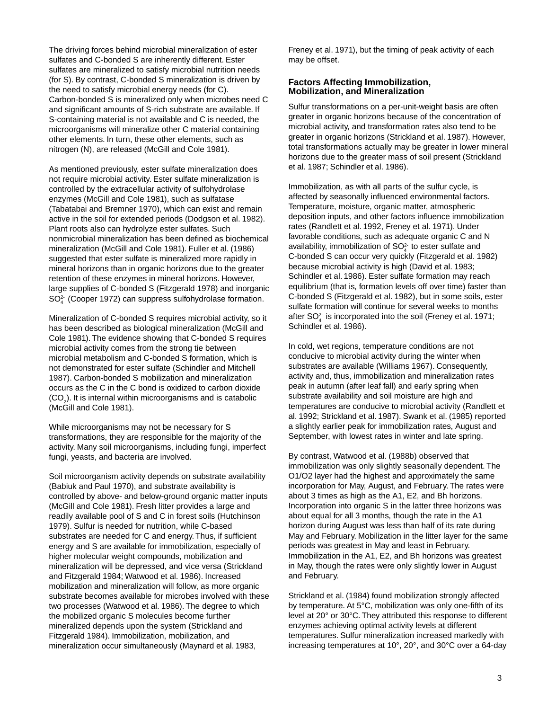The driving forces behind microbial mineralization of ester sulfates and C-bonded S are inherently different. Ester sulfates are mineralized to satisfy microbial nutrition needs (for S). By contrast, C-bonded S mineralization is driven by the need to satisfy microbial energy needs (for C). Carbon-bonded S is mineralized only when microbes need C and significant amounts of S-rich substrate are available. If S-containing material is not available and C is needed, the microorganisms will mineralize other C material containing other elements. In turn, these other elements, such as nitrogen (N), are released (McGill and Cole 1981).

As mentioned previously, ester sulfate mineralization does not require microbial activity. Ester sulfate mineralization is controlled by the extracellular activity of sulfohydrolase enzymes (McGill and Cole 1981), such as sulfatase (Tabatabai and Bremner 1970), which can exist and remain active in the soil for extended periods (Dodgson et al. 1982). Plant roots also can hydrolyze ester sulfates. Such nonmicrobial mineralization has been defined as biochemical mineralization (McGill and Cole 1981). Fuller et al. (1986) suggested that ester sulfate is mineralized more rapidly in mineral horizons than in organic horizons due to the greater retention of these enzymes in mineral horizons. However, large supplies of C-bonded S (Fitzgerald 1978) and inorganic SO<sub>4</sub><sup>2</sup> (Cooper 1972) can suppress sulfohydrolase formation.

Mineralization of C-bonded S requires microbial activity, so it has been described as biological mineralization (McGill and Cole 1981). The evidence showing that C-bonded S requires microbial activity comes from the strong tie between microbial metabolism and C-bonded S formation, which is not demonstrated for ester sulfate (Schindler and Mitchell 1987). Carbon-bonded S mobilization and mineralization occurs as the C in the C bond is oxidized to carbon dioxide  $({\mathsf{CO}}_2)$ . It is internal within microorganisms and is catabolic (McGill and Cole 1981).

While microorganisms may not be necessary for S transformations, they are responsible for the majority of the activity. Many soil microorganisms, including fungi, imperfect fungi, yeasts, and bacteria are involved.

Soil microorganism activity depends on substrate availability (Babiuk and Paul 1970), and substrate availability is controlled by above- and below-ground organic matter inputs (McGill and Cole 1981). Fresh litter provides a large and readily available pool of S and C in forest soils (Hutchinson 1979). Sulfur is needed for nutrition, while C-based substrates are needed for C and energy. Thus, if sufficient energy and S are available for immobilization, especially of higher molecular weight compounds, mobilization and mineralization will be depressed, and vice versa (Strickland and Fitzgerald 1984; Watwood et al. 1986). Increased mobilization and mineralization will follow, as more organic substrate becomes available for microbes involved with these two processes (Watwood et al. 1986). The degree to which the mobilized organic S molecules become further mineralized depends upon the system (Strickland and Fitzgerald 1984). Immobilization, mobilization, and mineralization occur simultaneously (Maynard et al. 1983,

Freney et al. 1971), but the timing of peak activity of each may be offset.

#### **Factors Affecting Immobilization, Mobilization, and Mineralization**

Sulfur transformations on a per-unit-weight basis are often greater in organic horizons because of the concentration of microbial activity, and transformation rates also tend to be greater in organic horizons (Strickland et al. 1987). However, total transformations actually may be greater in lower mineral horizons due to the greater mass of soil present (Strickland et al. 1987; Schindler et al. 1986).

Immobilization, as with all parts of the sulfur cycle, is affected by seasonally influenced environmental factors. Temperature, moisture, organic matter, atmospheric deposition inputs, and other factors influence immobilization rates (Randlett et al. 1992, Freney et al. 1971). Under favorable conditions, such as adequate organic C and N availability, immobilization of  $\mathsf{SO}_4^{2\text{-}}$  to ester sulfate and C-bonded S can occur very quickly (Fitzgerald et al. 1982) because microbial activity is high (David et al. 1983; Schindler et al. 1986). Ester sulfate formation may reach equilibrium (that is, formation levels off over time) faster than C-bonded S (Fitzgerald et al. 1982), but in some soils, ester sulfate formation will continue for several weeks to months after  $\mathsf{SO}_4^{2}$  is incorporated into the soil (Freney et al. 1971; Schindler et al. 1986).

In cold, wet regions, temperature conditions are not conducive to microbial activity during the winter when substrates are available (Williams 1967). Consequently, activity and, thus, immobilization and mineralization rates peak in autumn (after leaf fall) and early spring when substrate availability and soil moisture are high and temperatures are conducive to microbial activity (Randlett et al. 1992; Strickland et al. 1987). Swank et al. (1985) reported a slightly earlier peak for immobilization rates, August and September, with lowest rates in winter and late spring.

By contrast, Watwood et al. (1988b) observed that immobilization was only slightly seasonally dependent. The O1/O2 layer had the highest and approximately the same incorporation for May, August, and February. The rates were about 3 times as high as the A1, E2, and Bh horizons. Incorporation into organic S in the latter three horizons was about equal for all 3 months, though the rate in the A1 horizon during August was less than half of its rate during May and February. Mobilization in the litter layer for the same periods was greatest in May and least in February. Immobilization in the A1, E2, and Bh horizons was greatest in May, though the rates were only slightly lower in August and February.

Strickland et al. (1984) found mobilization strongly affected by temperature. At 5°C, mobilization was only one-fifth of its level at 20° or 30°C. They attributed this response to different enzymes achieving optimal activity levels at different temperatures. Sulfur mineralization increased markedly with increasing temperatures at 10°, 20°, and 30°C over a 64-day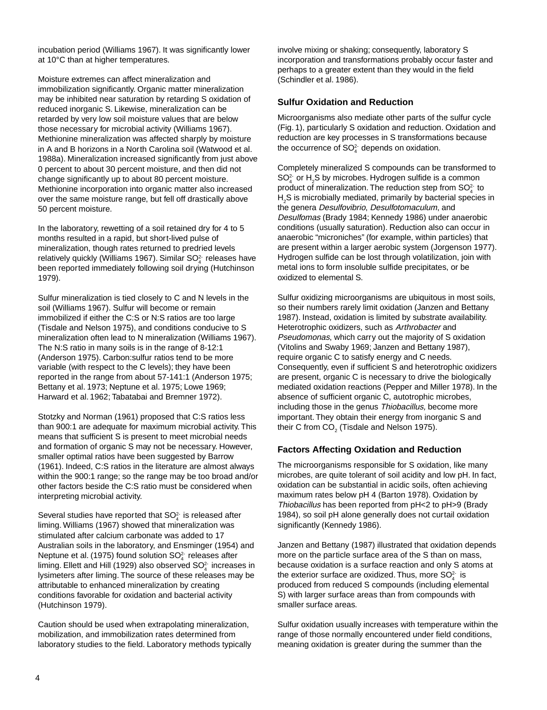incubation period (Williams 1967). It was significantly lower at 10°C than at higher temperatures.

Moisture extremes can affect mineralization and immobilization significantly. Organic matter mineralization may be inhibited near saturation by retarding S oxidation of reduced inorganic S. Likewise, mineralization can be retarded by very low soil moisture values that are below those necessary for microbial activity (Williams 1967). Methionine mineralization was affected sharply by moisture in A and B horizons in a North Carolina soil (Watwood et al. 1988a). Mineralization increased significantly from just above 0 percent to about 30 percent moisture, and then did not change significantly up to about 80 percent moisture. Methionine incorporation into organic matter also increased over the same moisture range, but fell off drastically above 50 percent moisture.

In the laboratory, rewetting of a soil retained dry for 4 to 5 months resulted in a rapid, but short-lived pulse of mineralization, though rates returned to predried levels relatively quickly (Williams 1967). Similar SO $_4^2$  releases have been reported immediately following soil drying (Hutchinson 1979).

Sulfur mineralization is tied closely to C and N levels in the soil (Williams 1967). Sulfur will become or remain immobilized if either the C:S or N:S ratios are too large (Tisdale and Nelson 1975), and conditions conducive to S mineralization often lead to N mineralization (Williams 1967). The N:S ratio in many soils is in the range of 8-12:1 (Anderson 1975). Carbon:sulfur ratios tend to be more variable (with respect to the C levels); they have been reported in the range from about 57-141:1 (Anderson 1975; Bettany et al. 1973; Neptune et al. 1975; Lowe 1969; Harward et al. 1962; Tabatabai and Bremner 1972).

Stotzky and Norman (1961) proposed that C:S ratios less than 900:1 are adequate for maximum microbial activity. This means that sufficient S is present to meet microbial needs and formation of organic S may not be necessary. However, smaller optimal ratios have been suggested by Barrow (1961). Indeed, C:S ratios in the literature are almost always within the 900:1 range; so the range may be too broad and/or other factors beside the C:S ratio must be considered when interpreting microbial activity.

Several studies have reported that  $SO<sub>4</sub><sup>2</sup>$  is released after liming. Williams (1967) showed that mineralization was stimulated after calcium carbonate was added to 17 Australian soils in the laboratory, and Ensminger (1954) and Neptune et al. (1975) found solution  $SO<sub>4</sub><sup>2</sup>$  releases after liming. Ellett and Hill (1929) also observed SO $_4^2$  increases in lysimeters after liming. The source of these releases may be attributable to enhanced mineralization by creating conditions favorable for oxidation and bacterial activity (Hutchinson 1979).

Caution should be used when extrapolating mineralization, mobilization, and immobilization rates determined from laboratory studies to the field. Laboratory methods typically involve mixing or shaking; consequently, laboratory S incorporation and transformations probably occur faster and perhaps to a greater extent than they would in the field (Schindler et al. 1986).

#### **Sulfur Oxidation and Reduction**

Microorganisms also mediate other parts of the sulfur cycle (Fig. 1), particularly S oxidation and reduction. Oxidation and reduction are key processes in S transformations because the occurrence of  $SO<sub>4</sub><sup>2</sup>$  depends on oxidation.

Completely mineralized S compounds can be transformed to  $\mathsf{SO}^{2\text{-}}_4$  or  $\mathsf{H}_2\mathsf{S}$  by microbes. Hydrogen sulfide is a common product of mineralization. The reduction step from  $\mathsf{SO}_4^{2\cdot}$  to  $\mathsf{H}_2\mathsf{S}$  is microbially mediated, primarily by bacterial species in the genera Desulfovibrio, Desulfotomaculum, and Desulfomas (Brady 1984; Kennedy 1986) under anaerobic conditions (usually saturation). Reduction also can occur in anaerobic "microniches" (for example, within particles) that are present within a larger aerobic system (Jorgenson 1977). Hydrogen sulfide can be lost through volatilization, join with metal ions to form insoluble sulfide precipitates, or be oxidized to elemental S.

Sulfur oxidizing microorganisms are ubiquitous in most soils, so their numbers rarely limit oxidation (Janzen and Bettany 1987). Instead, oxidation is limited by substrate availability. Heterotrophic oxidizers, such as Arthrobacter and Pseudomonas, which carry out the majority of S oxidation (Vitolins and Swaby 1969; Janzen and Bettany 1987), require organic C to satisfy energy and C needs. Consequently, even if sufficient S and heterotrophic oxidizers are present, organic C is necessary to drive the biologically mediated oxidation reactions (Pepper and Miller 1978). In the absence of sufficient organic C, autotrophic microbes, including those in the genus Thiobacillus, become more important. They obtain their energy from inorganic S and their C from CO $_{\tiny 2}$  (Tisdale and Nelson 1975).

#### **Factors Affecting Oxidation and Reduction**

The microorganisms responsible for S oxidation, like many microbes, are quite tolerant of soil acidity and low pH. In fact, oxidation can be substantial in acidic soils, often achieving maximum rates below pH 4 (Barton 1978). Oxidation by Thiobacillus has been reported from pH<2 to pH>9 (Brady 1984), so soil pH alone generally does not curtail oxidation significantly (Kennedy 1986).

Janzen and Bettany (1987) illustrated that oxidation depends more on the particle surface area of the S than on mass, because oxidation is a surface reaction and only S atoms at the exterior surface are oxidized. Thus, more  $\mathsf{SO}_4^2$  is produced from reduced S compounds (including elemental S) with larger surface areas than from compounds with smaller surface areas.

Sulfur oxidation usually increases with temperature within the range of those normally encountered under field conditions, meaning oxidation is greater during the summer than the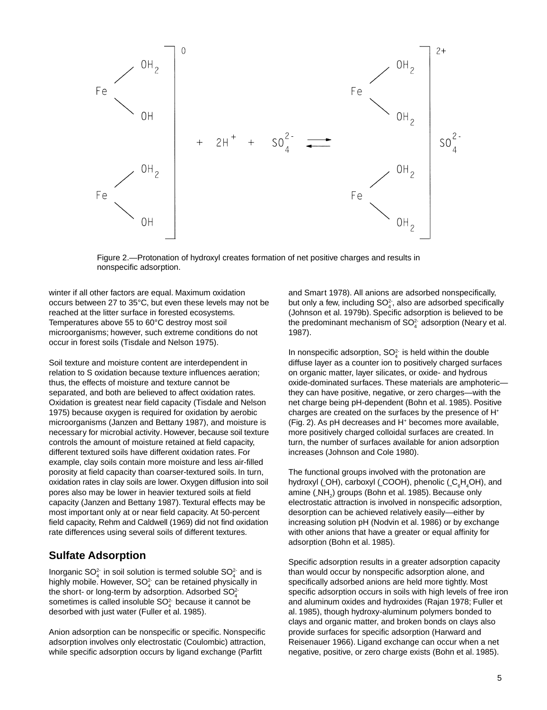

Figure 2.—Protonation of hydroxyl creates formation of net positive charges and results in nonspecific adsorption.

winter if all other factors are equal. Maximum oxidation occurs between 27 to 35°C, but even these levels may not be reached at the litter surface in forested ecosystems. Temperatures above 55 to 60°C destroy most soil microorganisms; however, such extreme conditions do not occur in forest soils (Tisdale and Nelson 1975).

Soil texture and moisture content are interdependent in relation to S oxidation because texture influences aeration; thus, the effects of moisture and texture cannot be separated, and both are believed to affect oxidation rates. Oxidation is greatest near field capacity (Tisdale and Nelson 1975) because oxygen is required for oxidation by aerobic microorganisms (Janzen and Bettany 1987), and moisture is necessary for microbial activity. However, because soil texture controls the amount of moisture retained at field capacity, different textured soils have different oxidation rates. For example, clay soils contain more moisture and less air-filled porosity at field capacity than coarser-textured soils. In turn, oxidation rates in clay soils are lower. Oxygen diffusion into soil pores also may be lower in heavier textured soils at field capacity (Janzen and Bettany 1987). Textural effects may be most important only at or near field capacity. At 50-percent field capacity, Rehm and Caldwell (1969) did not find oxidation rate differences using several soils of different textures.

# **Sulfate Adsorption**

Inorganic  $SO_4^2$  in soil solution is termed soluble  $SO_4^2$  and is highly mobile. However,  $SO<sub>4</sub><sup>2</sup>$  can be retained physically in the short- or long-term by adsorption. Adsorbed  $\mathsf{SO}_4^{2+}$ sometimes is called insoluble  $\mathsf{SO}_4^2$  because it cannot be desorbed with just water (Fuller et al. 1985).

Anion adsorption can be nonspecific or specific. Nonspecific adsorption involves only electrostatic (Coulombic) attraction, while specific adsorption occurs by ligand exchange (Parfitt

and Smart 1978). All anions are adsorbed nonspecifically, but only a few, including  $\mathsf{SO}_4^2$ , also are adsorbed specifically (Johnson et al. 1979b). Specific adsorption is believed to be the predominant mechanism of SO $_4^2$  adsorption (Neary et al. 1987).

In nonspecific adsorption,  $SO<sub>4</sub><sup>2</sup>$  is held within the double diffuse layer as a counter ion to positively charged surfaces on organic matter, layer silicates, or oxide- and hydrous oxide-dominated surfaces. These materials are amphoteric they can have positive, negative, or zero charges—with the net charge being pH-dependent (Bohn et al. 1985). Positive charges are created on the surfaces by the presence of H+ (Fig. 2). As pH decreases and H+ becomes more available, more positively charged colloidal surfaces are created. In turn, the number of surfaces available for anion adsorption increases (Johnson and Cole 1980).

The functional groups involved with the protonation are hydroxyl (<sub>-</sub>OH), carboxyl (<sub>-</sub>COOH), phenolic (<sub>-</sub>C<sub>6</sub>H<sub>4</sub>OH), and amine (\_NH<sub>2</sub>) groups (Bohn et al. 1985). Because only electrostatic attraction is involved in nonspecific adsorption, desorption can be achieved relatively easily—either by increasing solution pH (Nodvin et al. 1986) or by exchange with other anions that have a greater or equal affinity for adsorption (Bohn et al. 1985).

Specific adsorption results in a greater adsorption capacity than would occur by nonspecific adsorption alone, and specifically adsorbed anions are held more tightly. Most specific adsorption occurs in soils with high levels of free iron and aluminum oxides and hydroxides (Rajan 1978; Fuller et al. 1985), though hydroxy-aluminum polymers bonded to clays and organic matter, and broken bonds on clays also provide surfaces for specific adsorption (Harward and Reisenauer 1966). Ligand exchange can occur when a net negative, positive, or zero charge exists (Bohn et al. 1985).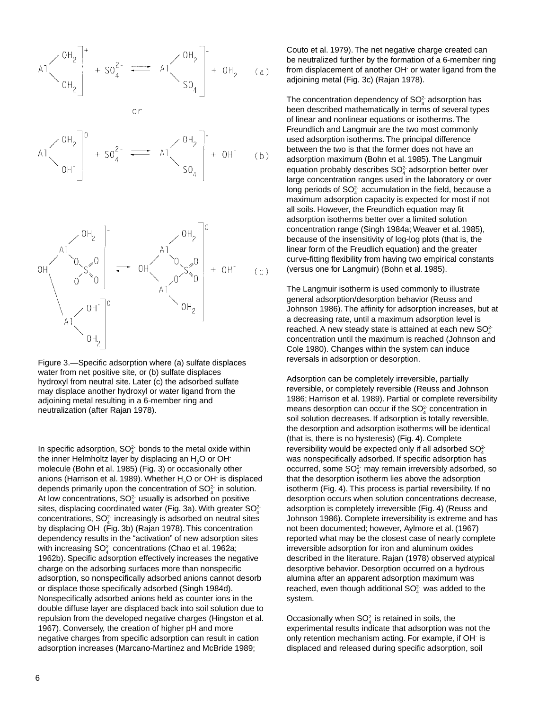$$
A1 \left( \begin{array}{c} 0H_2 \\ H_2 \end{array} \right)^+ + SO_4^2 \left( \begin{array}{c} 0H_2 \\ H_2 \end{array} \right)^- + OH_2 \quad (a)
$$







Figure 3.—Specific adsorption where (a) sulfate displaces water from net positive site, or (b) sulfate displaces hydroxyl from neutral site. Later (c) the adsorbed sulfate may displace another hydroxyl or water ligand from the adjoining metal resulting in a 6-member ring and neutralization (after Rajan 1978).

In specific adsorption,  $SO<sub>4</sub><sup>2</sup>$  bonds to the metal oxide within the inner Helmholtz layer by displacing an  $H_2^2O$  or OH<sup>-</sup> molecule (Bohn et al. 1985) (Fig. 3) or occasionally other anions (Harrison et al. 1989). Whether  ${\sf H}_2^{}$ O or OH $^{\cdot}$  is displaced depends primarily upon the concentration of  $SO<sub>4</sub><sup>2</sup>$  in solution. At low concentrations,  $SO<sub>4</sub><sup>2</sup>$  usually is adsorbed on positive sites, displacing coordinated water (Fig. 3a). With greater  $\mathsf{SO}_4^{2+}$ concentrations,  $SO_4^2$  increasingly is adsorbed on neutral sites by displacing OH- (Fig. 3b) (Rajan 1978). This concentration dependency results in the "activation" of new adsorption sites with increasing  $\mathsf{SO}_4^{2\text{-}}$  concentrations (Chao et al. 1962a; 1962b). Specific adsorption effectively increases the negative charge on the adsorbing surfaces more than nonspecific adsorption, so nonspecifically adsorbed anions cannot desorb or displace those specifically adsorbed (Singh 1984d). Nonspecifically adsorbed anions held as counter ions in the double diffuse layer are displaced back into soil solution due to repulsion from the developed negative charges (Hingston et al. 1967). Conversely, the creation of higher pH and more negative charges from specific adsorption can result in cation adsorption increases (Marcano-Martinez and McBride 1989;

Couto et al. 1979). The net negative charge created can be neutralized further by the formation of a 6-member ring from displacement of another OH or water ligand from the adjoining metal (Fig. 3c) (Rajan 1978).

The concentration dependency of SO $_4^2$  adsorption has been described mathematically in terms of several types of linear and nonlinear equations or isotherms. The Freundlich and Langmuir are the two most commonly used adsorption isotherms. The principal difference between the two is that the former does not have an adsorption maximum (Bohn et al. 1985). The Langmuir equation probably describes SO $_4^2$  adsorption better over large concentration ranges used in the laboratory or over long periods of SO $_4^2$  accumulation in the field, because a maximum adsorption capacity is expected for most if not all soils. However, the Freundlich equation may fit adsorption isotherms better over a limited solution concentration range (Singh 1984a; Weaver et al. 1985), because of the insensitivity of log-log plots (that is, the linear form of the Freudlich equation) and the greater curve-fitting flexibility from having two empirical constants (versus one for Langmuir) (Bohn et al. 1985).

The Langmuir isotherm is used commonly to illustrate general adsorption/desorption behavior (Reuss and Johnson 1986). The affinity for adsorption increases, but at a decreasing rate, until a maximum adsorption level is reached. A new steady state is attained at each new SO $_4^{2+}$ concentration until the maximum is reached (Johnson and Cole 1980). Changes within the system can induce reversals in adsorption or desorption.

Adsorption can be completely irreversible, partially reversible, or completely reversible (Reuss and Johnson 1986; Harrison et al. 1989). Partial or complete reversibility means desorption can occur if the SO $_4^2$  concentration in soil solution decreases. If adsorption is totally reversible, the desorption and adsorption isotherms will be identical (that is, there is no hysteresis) (Fig. 4). Complete reversibility would be expected only if all adsorbed  $\mathsf{SO}_4^{2+}$ was nonspecifically adsorbed. If specific adsorption has occurred, some  $\mathsf{SO}_4^{2\text{-}}$  may remain irreversibly adsorbed, so that the desorption isotherm lies above the adsorption isotherm (Fig. 4). This process is partial reversibility. If no desorption occurs when solution concentrations decrease, adsorption is completely irreversible (Fig. 4) (Reuss and Johnson 1986). Complete irreversibility is extreme and has not been documented; however, Aylmore et al. (1967) reported what may be the closest case of nearly complete irreversible adsorption for iron and aluminum oxides described in the literature. Rajan (1978) observed atypical desorptive behavior. Desorption occurred on a hydrous alumina after an apparent adsorption maximum was reached, even though additional SO $_4^2$  was added to the system.

Occasionally when  $\mathsf{SO}_4^2$  is retained in soils, the experimental results indicate that adsorption was not the only retention mechanism acting. For example, if OH- is displaced and released during specific adsorption, soil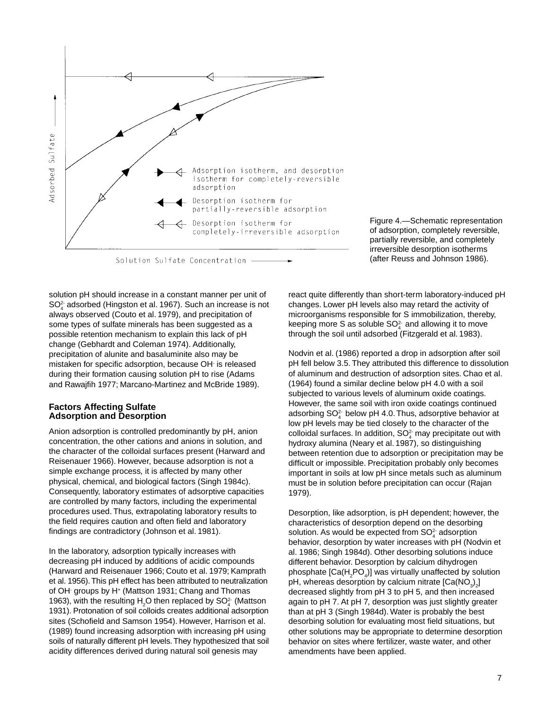

Figure 4.—Schematic representation of adsorption, completely reversible, partially reversible, and completely irreversible desorption isotherms (after Reuss and Johnson 1986).

solution pH should increase in a constant manner per unit of SO<sub>4</sub><sup>-</sup> adsorbed (Hingston et al. 1967). Such an increase is not always observed (Couto et al. 1979), and precipitation of some types of sulfate minerals has been suggested as a possible retention mechanism to explain this lack of pH change (Gebhardt and Coleman 1974). Additionally, precipitation of alunite and basaluminite also may be mistaken for specific adsorption, because OH- is released during their formation causing solution pH to rise (Adams and Rawajfih 1977; Marcano-Martinez and McBride 1989).

#### **Factors Affecting Sulfate Adsorption and Desorption**

Anion adsorption is controlled predominantly by pH, anion concentration, the other cations and anions in solution, and the character of the colloidal surfaces present (Harward and Reisenauer 1966). However, because adsorption is not a simple exchange process, it is affected by many other physical, chemical, and biological factors (Singh 1984c). Consequently, laboratory estimates of adsorptive capacities are controlled by many factors, including the experimental procedures used. Thus, extrapolating laboratory results to the field requires caution and often field and laboratory findings are contradictory (Johnson et al. 1981).

In the laboratory, adsorption typically increases with decreasing pH induced by additions of acidic compounds (Harward and Reisenauer 1966; Couto et al. 1979; Kamprath et al. 1956). This pH effect has been attributed to neutralization of OH· groups by H<sup>+</sup> (Mattson 1931; Chang and Thomas 1963), with the resulting  $H_2O$  then replaced by  $SO_4^{2-}$  (Mattson 1931). Protonation of soil colloids creates additional adsorption sites (Schofield and Samson 1954). However, Harrison et al. (1989) found increasing adsorption with increasing pH using soils of naturally different pH levels. They hypothesized that soil acidity differences derived during natural soil genesis may

react quite differently than short-term laboratory-induced pH changes. Lower pH levels also may retard the activity of microorganisms responsible for S immobilization, thereby, keeping more S as soluble  $SO_4^2$  and allowing it to move  $\frac{1}{4}$  and allowing it to move through the soil until adsorbed (Fitzgerald et al. 1983).

Nodvin et al. (1986) reported a drop in adsorption after soil pH fell below 3.5. They attributed this difference to dissolution of aluminum and destruction of adsorption sites. Chao et al. (1964) found a similar decline below pH 4.0 with a soil subjected to various levels of aluminum oxide coatings. However, the same soil with iron oxide coatings continued adsorbing SO $_4^\text{2-}$  below pH 4.0. Thus, adsorptive behavior at low pH levels may be tied closely to the character of the colloidal surfaces. In addition,  $\mathsf{SO}_4^2$  may precipitate out with hydroxy alumina (Neary et al. 1987), so distinguishing between retention due to adsorption or precipitation may be difficult or impossible. Precipitation probably only becomes important in soils at low pH since metals such as aluminum must be in solution before precipitation can occur (Rajan 1979).

Desorption, like adsorption, is pH dependent; however, the characteristics of desorption depend on the desorbing solution. As would be expected from  $\mathsf{SO}_4^2$  adsorption behavior, desorption by water increases with pH (Nodvin et al. 1986; Singh 1984d). Other desorbing solutions induce different behavior. Desorption by calcium dihydrogen phosphate [Ca(H<sub>2</sub>PO<sub>4</sub>)] was virtually unaffected by solution pH, whereas desorption by calcium nitrate [Ca(NO $_3)_2\!$ ] decreased slightly from pH 3 to pH 5, and then increased again to pH 7. At pH 7, desorption was just slightly greater than at pH 3 (Singh 1984d). Water is probably the best desorbing solution for evaluating most field situations, but other solutions may be appropriate to determine desorption behavior on sites where fertilizer, waste water, and other amendments have been applied.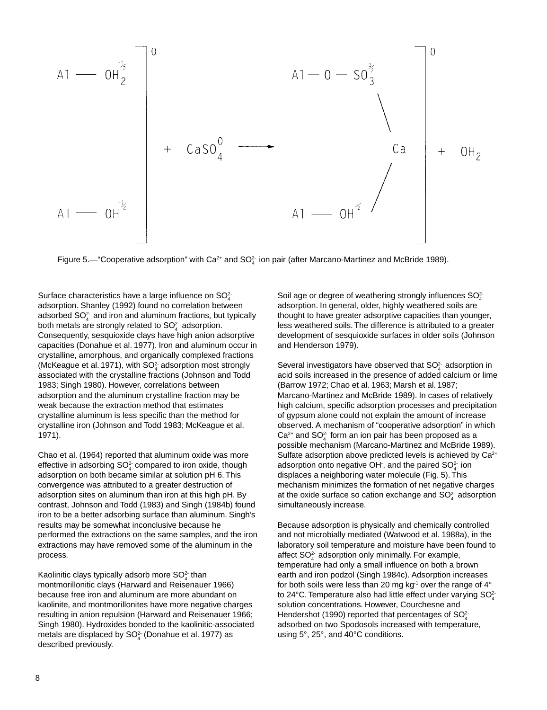

Figure 5.— "Cooperative adsorption" with Ca<sup>2+</sup> and SO<sup>2-</sup> ion pair (after Marcano-Martinez and McBride 1989).

Surface characteristics have a large influence on  $SO<sub>4</sub><sup>2</sup>$ adsorption. Shanley (1992) found no correlation between adsorbed  $\mathsf{SO}_4^{2\cdot}$  and iron and aluminum fractions, but typically both metals are strongly related to  $SO<sub>4</sub><sup>2</sup>$  adsorption. Consequently, sesquioxide clays have high anion adsorptive capacities (Donahue et al. 1977). Iron and aluminum occur in crystalline, amorphous, and organically complexed fractions (McKeague et al. 1971), with  $SO<sub>4</sub><sup>2</sup>$  adsorption most strongly associated with the crystalline fractions (Johnson and Todd 1983; Singh 1980). However, correlations between adsorption and the aluminum crystalline fraction may be weak because the extraction method that estimates crystalline aluminum is less specific than the method for crystalline iron (Johnson and Todd 1983; McKeague et al. 1971).

Chao et al. (1964) reported that aluminum oxide was more effective in adsorbing  $\mathsf{SO}_4^2$  compared to iron oxide, though adsorption on both became similar at solution pH 6. This convergence was attributed to a greater destruction of adsorption sites on aluminum than iron at this high pH. By contrast, Johnson and Todd (1983) and Singh (1984b) found iron to be a better adsorbing surface than aluminum. Singh's results may be somewhat inconclusive because he performed the extractions on the same samples, and the iron extractions may have removed some of the aluminum in the process.

Kaolinitic clays typically adsorb more  $SO<sub>4</sub><sup>2</sup>$  than montmorillonitic clays (Harward and Reisenauer 1966) because free iron and aluminum are more abundant on kaolinite, and montmorillonites have more negative charges resulting in anion repulsion (Harward and Reisenauer 1966; Singh 1980). Hydroxides bonded to the kaolinitic-associated metals are displaced by  $\mathsf{SO}_4^2$  (Donahue et al. 1977) as described previously.

Soil age or degree of weathering strongly influences  $SO_4^{2+}$ adsorption. In general, older, highly weathered soils are thought to have greater adsorptive capacities than younger, less weathered soils. The difference is attributed to a greater development of sesquioxide surfaces in older soils (Johnson and Henderson 1979).

Several investigators have observed that  $\mathsf{SO}_4^2$  adsorption in acid soils increased in the presence of added calcium or lime (Barrow 1972; Chao et al. 1963; Marsh et al. 1987; Marcano-Martinez and McBride 1989). In cases of relatively high calcium, specific adsorption processes and precipitation of gypsum alone could not explain the amount of increase observed. A mechanism of "cooperative adsorption" in which  $\textsf{Ca}^{2+}$  and  $\textsf{SO}_4^{2+}$  form an ion pair has been proposed as a possible mechanism (Marcano-Martinez and McBride 1989). Sulfate adsorption above predicted levels is achieved by Ca<sup>2+</sup> adsorption onto negative OH , and the paired SO $_4^2$  ion displaces a neighboring water molecule (Fig. 5). This mechanism minimizes the formation of net negative charges at the oxide surface so cation exchange and  $\mathsf{SO}_4^2$  adsorption simultaneously increase.

Because adsorption is physically and chemically controlled and not microbially mediated (Watwood et al. 1988a), in the laboratory soil temperature and moisture have been found to affect  $SO_4^2$  adsorption only minimally. For example, temperature had only a small influence on both a brown earth and iron podzol (Singh 1984c). Adsorption increases for both soils were less than 20 mg  $kg<sup>-1</sup>$  over the range of  $4^{\circ}$ to 24°C. Temperature also had little effect under varying SO $_4^2$ solution concentrations. However, Courchesne and Hendershot (1990) reported that percentages of SO $_4^{2}$ adsorbed on two Spodosols increased with temperature, using 5°, 25°, and 40°C conditions.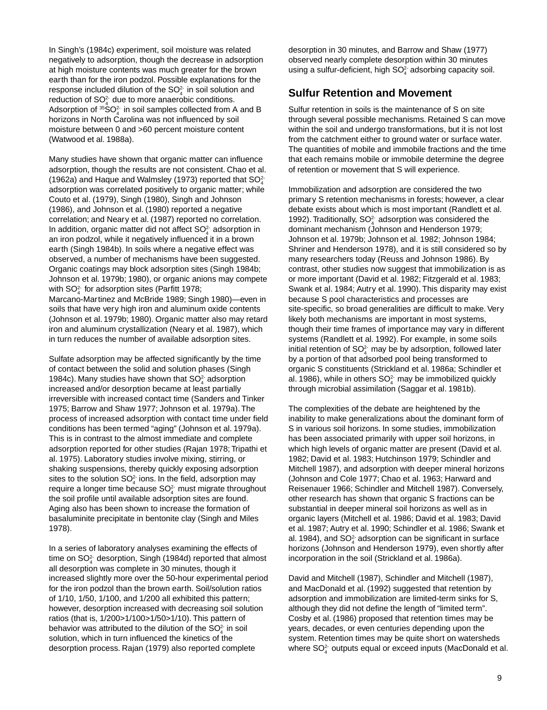In Singh's (1984c) experiment, soil moisture was related negatively to adsorption, though the decrease in adsorption at high moisture contents was much greater for the brown earth than for the iron podzol. Possible explanations for the response included dilution of the  $SO<sub>4</sub><sup>2</sup>$  in soil solution and reduction of  $SO<sub>4</sub><sup>2</sup>$  due to more anaerobic conditions. Adsorption of  ${}^{35}SO_4^2$  in soil samples collected from A and B horizons in North Carolina was not influenced by soil moisture between 0 and >60 percent moisture content (Watwood et al. 1988a).

Many studies have shown that organic matter can influence adsorption, though the results are not consistent. Chao et al. (1962a) and Haque and Walmsley (1973) reported that  $SO<sub>4</sub><sup>2</sup>$ adsorption was correlated positively to organic matter; while Couto et al. (1979), Singh (1980), Singh and Johnson (1986), and Johnson et al. (1980) reported a negative correlation; and Neary et al. (1987) reported no correlation. In addition, organic matter did not affect  $SO<sub>4</sub><sup>2</sup>$  adsorption in an iron podzol, while it negatively influenced it in a brown earth (Singh 1984b). In soils where a negative effect was observed, a number of mechanisms have been suggested. Organic coatings may block adsorption sites (Singh 1984b; Johnson et al. 1979b; 1980), or organic anions may compete with  $SO_4^{2}$  for adsorption sites (Parfitt 1978; Marcano-Martinez and McBride 1989; Singh 1980)—even in soils that have very high iron and aluminum oxide contents (Johnson et al. 1979b; 1980). Organic matter also may retard iron and aluminum crystallization (Neary et al. 1987), which in turn reduces the number of available adsorption sites.

Sulfate adsorption may be affected significantly by the time of contact between the solid and solution phases (Singh 1984c). Many studies have shown that  $SO<sub>4</sub><sup>2</sup>$  adsorption increased and/or desorption became at least partially irreversible with increased contact time (Sanders and Tinker 1975; Barrow and Shaw 1977; Johnson et al. 1979a). The process of increased adsorption with contact time under field conditions has been termed "aging" (Johnson et al. 1979a). This is in contrast to the almost immediate and complete adsorption reported for other studies (Rajan 1978; Tripathi et al. 1975). Laboratory studies involve mixing, stirring, or shaking suspensions, thereby quickly exposing adsorption sites to the solution  $SO<sub>4</sub><sup>2</sup>$  ions. In the field, adsorption may require a longer time because  $\mathsf{SO}_4^2$  must migrate throughout the soil profile until available adsorption sites are found. Aging also has been shown to increase the formation of basaluminite precipitate in bentonite clay (Singh and Miles 1978).

In a series of laboratory analyses examining the effects of time on SO $_4^2$  desorption, Singh (1984d) reported that almost all desorption was complete in 30 minutes, though it increased slightly more over the 50-hour experimental period for the iron podzol than the brown earth. Soil/solution ratios of 1/10, 1/50, 1/100, and 1/200 all exhibited this pattern; however, desorption increased with decreasing soil solution ratios (that is, 1/200>1/100>1/50>1/10). This pattern of behavior was attributed to the dilution of the  $\mathsf{SO}_{4}^{2}$  in soil solution, which in turn influenced the kinetics of the desorption process. Rajan (1979) also reported complete

desorption in 30 minutes, and Barrow and Shaw (1977) observed nearly complete desorption within 30 minutes using a sulfur-deficient, high  $SO_4^2$  adsorbing capacity soil.

# **Sulfur Retention and Movement**

Sulfur retention in soils is the maintenance of S on site through several possible mechanisms. Retained S can move within the soil and undergo transformations, but it is not lost from the catchment either to ground water or surface water. The quantities of mobile and immobile fractions and the time that each remains mobile or immobile determine the degree of retention or movement that S will experience.

Immobilization and adsorption are considered the two primary S retention mechanisms in forests; however, a clear debate exists about which is most important (Randlett et al. 1992). Traditionally,  $SO_4^2$  adsorption was considered the dominant mechanism (Johnson and Henderson 1979; Johnson et al. 1979b; Johnson et al. 1982; Johnson 1984; Shriner and Henderson 1978), and it is still considered so by many researchers today (Reuss and Johnson 1986). By contrast, other studies now suggest that immobilization is as or more important (David et al. 1982; Fitzgerald et al. 1983; Swank et al. 1984; Autry et al. 1990). This disparity may exist because S pool characteristics and processes are site-specific, so broad generalities are difficult to make. Very likely both mechanisms are important in most systems, though their time frames of importance may vary in different systems (Randlett et al. 1992). For example, in some soils initial retention of SO $_4^2$  may be by adsorption, followed later by a portion of that adsorbed pool being transformed to organic S constituents (Strickland et al. 1986a; Schindler et al. 1986), while in others SO $_4^\circ$  may be immobilized quickly through microbial assimilation (Saggar et al. 1981b).

The complexities of the debate are heightened by the inability to make generalizations about the dominant form of S in various soil horizons. In some studies, immobilization has been associated primarily with upper soil horizons, in which high levels of organic matter are present (David et al. 1982; David et al. 1983; Hutchinson 1979; Schindler and Mitchell 1987), and adsorption with deeper mineral horizons (Johnson and Cole 1977; Chao et al. 1963; Harward and Reisenauer 1966; Schindler and Mitchell 1987). Conversely, other research has shown that organic S fractions can be substantial in deeper mineral soil horizons as well as in organic layers (Mitchell et al. 1986; David et al. 1983; David et al. 1987; Autry et al. 1990; Schindler et al. 1986; Swank et al. 1984), and SO $_4^2$  adsorption can be significant in surface horizons (Johnson and Henderson 1979), even shortly after incorporation in the soil (Strickland et al. 1986a).

David and Mitchell (1987), Schindler and Mitchell (1987), and MacDonald et al. (1992) suggested that retention by adsorption and immobilization are limited-term sinks for S, although they did not define the length of "limited term". Cosby et al. (1986) proposed that retention times may be years, decades, or even centuries depending upon the system. Retention times may be quite short on watersheds where  $\mathsf{SO}_4^{2\cdot}$  outputs equal or exceed inputs (MacDonald et al.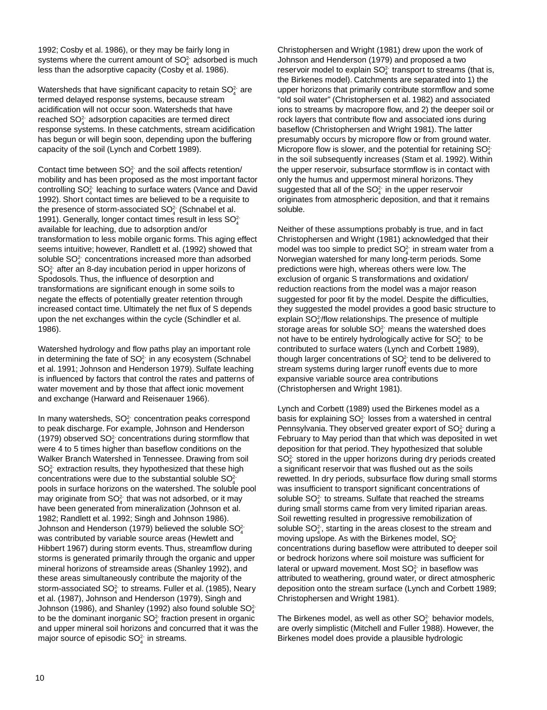1992; Cosby et al. 1986), or they may be fairly long in systems where the current amount of  $\mathsf{SO}_4^2$  adsorbed is much less than the adsorptive capacity (Cosby et al. 1986).

Watersheds that have significant capacity to retain SO $_4^2$  are termed delayed response systems, because stream acidification will not occur soon. Watersheds that have reached  $SO_4^2$  adsorption capacities are termed direct response systems. In these catchments, stream acidification has begun or will begin soon, depending upon the buffering capacity of the soil (Lynch and Corbett 1989).

Contact time between  $SO<sub>4</sub><sup>2</sup>$  and the soil affects retention/ mobility and has been proposed as the most important factor controlling SO<sup>2</sup><sup>-</sup> leaching to surface waters (Vance and David 1992). Short contact times are believed to be a requisite to the presence of storm-associated  $\mathsf{SO}_4^{2-}$  (Schnabel et al. 1991). Generally, longer contact times result in less  $SO<sub>4</sub><sup>2</sup>$ available for leaching, due to adsorption and/or transformation to less mobile organic forms. This aging effect seems intuitive; however, Randlett et al. (1992) showed that soluble  $\mathsf{SO}_4^{2}$  concentrations increased more than adsorbed  $SO<sub>4</sub><sup>2</sup>$  after an 8-day incubation period in upper horizons of Spodosols. Thus, the influence of desorption and transformations are significant enough in some soils to negate the effects of potentially greater retention through increased contact time. Ultimately the net flux of S depends upon the net exchanges within the cycle (Schindler et al. 1986).

Watershed hydrology and flow paths play an important role in determining the fate of  $\mathsf{SO}_4^{2,1}$  in any ecosystem (Schnabel et al. 1991; Johnson and Henderson 1979). Sulfate leaching is influenced by factors that control the rates and patterns of water movement and by those that affect ionic movement and exchange (Harward and Reisenauer 1966).

In many watersheds,  $SO<sub>4</sub><sup>2</sup>$  concentration peaks correspond to peak discharge. For example, Johnson and Henderson (1979) observed  $SO_4^2$  concentrations during stormflow that were 4 to 5 times higher than baseflow conditions on the Walker Branch Watershed in Tennessee. Drawing from soil  $SO<sub>4</sub><sup>2</sup>$  extraction results, they hypothesized that these high concentrations were due to the substantial soluble  $SO<sub>4</sub><sup>2</sup>$ pools in surface horizons on the watershed. The soluble pool may originate from  $\mathsf{SO}_4^2$  that was not adsorbed, or it may have been generated from mineralization (Johnson et al. 1982; Randlett et al. 1992; Singh and Johnson 1986). Johnson and Henderson (1979) believed the soluble  $\mathsf{SO}_4^{2+}$ was contributed by variable source areas (Hewlett and Hibbert 1967) during storm events. Thus, streamflow during storms is generated primarily through the organic and upper mineral horizons of streamside areas (Shanley 1992), and these areas simultaneously contribute the majority of the storm-associated SO $_4^2$  to streams. Fuller et al. (1985), Neary et al. (1987), Johnson and Henderson (1979), Singh and Johnson (1986), and Shanley (1992) also found soluble  $\mathsf{SO}_4^{2+}$ to be the dominant inorganic SO $_4^2$  fraction present in organic and upper mineral soil horizons and concurred that it was the major source of episodic  $SO<sub>4</sub><sup>2</sup>$  in streams.

Christophersen and Wright (1981) drew upon the work of Johnson and Henderson (1979) and proposed a two reservoir model to explain  $\mathsf{SO}_4^2$  transport to streams (that is, the Birkenes model). Catchments are separated into 1) the upper horizons that primarily contribute stormflow and some "old soil water" (Christophersen et al. 1982) and associated ions to streams by macropore flow, and 2) the deeper soil or rock layers that contribute flow and associated ions during baseflow (Christophersen and Wright 1981). The latter presumably occurs by micropore flow or from ground water. Micropore flow is slower, and the potential for retaining  $SO_4^{2+}$ in the soil subsequently increases (Stam et al. 1992). Within the upper reservoir, subsurface stormflow is in contact with only the humus and uppermost mineral horizons. They suggested that all of the SO $_4^2$  in the upper reservoir originates from atmospheric deposition, and that it remains soluble.

Neither of these assumptions probably is true, and in fact Christophersen and Wright (1981) acknowledged that their model was too simple to predict SO $_4^2$  in stream water from a Norwegian watershed for many long-term periods. Some predictions were high, whereas others were low. The exclusion of organic S transformations and oxidation/ reduction reactions from the model was a major reason suggested for poor fit by the model. Despite the difficulties, they suggested the model provides a good basic structure to explain SO<sup>2</sup><sup>-</sup>/flow relationships. The presence of multiple storage areas for soluble SO $_4^2$  means the watershed does not have to be entirely hydrologically active for  $\mathsf{SO}^{2-}_4$  to be contributed to surface waters (Lynch and Corbett 1989), though larger concentrations of SO $_4^2$  tend to be delivered to stream systems during larger runoff events due to more expansive variable source area contributions (Christophersen and Wright 1981).

Lynch and Corbett (1989) used the Birkenes model as a basis for explaining SO $_4^2$  losses from a watershed in central Pennsylvania. They observed greater export of  $\mathsf{SO}_4^{2}$  during a February to May period than that which was deposited in wet deposition for that period. They hypothesized that soluble  $SO<sub>4</sub><sup>2</sup>$  stored in the upper horizons during dry periods created a significant reservoir that was flushed out as the soils rewetted. In dry periods, subsurface flow during small storms was insufficient to transport significant concentrations of soluble SO $_4^2$  to streams. Sulfate that reached the streams during small storms came from very limited riparian areas. Soil rewetting resulted in progressive remobilization of soluble SO $_4^2$ , starting in the areas closest to the stream and moving upslope. As with the Birkenes model,  $\mathsf{SO}_4^{2-}$ concentrations during baseflow were attributed to deeper soil or bedrock horizons where soil moisture was sufficient for lateral or upward movement. Most SO $_4^2$  in baseflow was attributed to weathering, ground water, or direct atmospheric deposition onto the stream surface (Lynch and Corbett 1989; Christophersen and Wright 1981).

The Birkenes model, as well as other  $\mathsf{SO}_4^{2\cdot}$  behavior models, are overly simplistic (Mitchell and Fuller 1988). However, the Birkenes model does provide a plausible hydrologic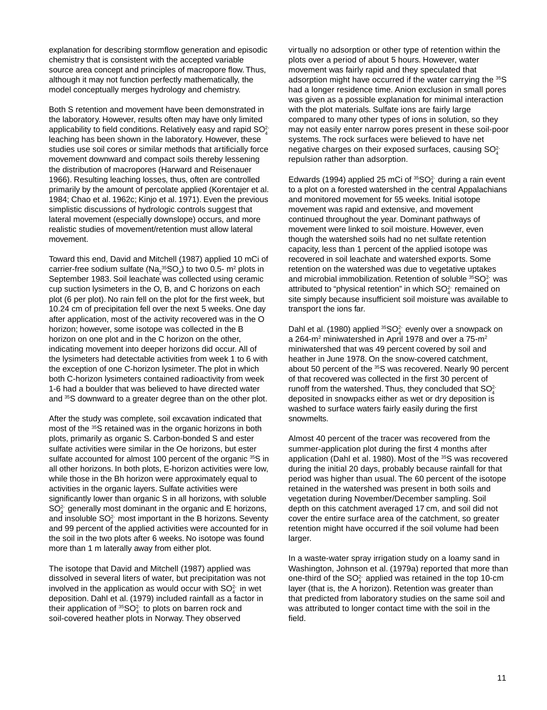explanation for describing stormflow generation and episodic chemistry that is consistent with the accepted variable source area concept and principles of macropore flow. Thus, although it may not function perfectly mathematically, the model conceptually merges hydrology and chemistry.

Both S retention and movement have been demonstrated in the laboratory. However, results often may have only limited applicability to field conditions. Relatively easy and rapid  $\mathsf{SO}_4^{2+}$ leaching has been shown in the laboratory. However, these studies use soil cores or similar methods that artificially force movement downward and compact soils thereby lessening the distribution of macropores (Harward and Reisenauer 1966). Resulting leaching losses, thus, often are controlled primarily by the amount of percolate applied (Korentajer et al. 1984; Chao et al. 1962c; Kinjo et al. 1971). Even the previous simplistic discussions of hydrologic controls suggest that lateral movement (especially downslope) occurs, and more realistic studies of movement/retention must allow lateral movement.

Toward this end, David and Mitchell (1987) applied 10 mCi of carrier-free sodium sulfate (Na<sub>2</sub><sup>35</sup>SO<sub>4</sub>) to two 0.5- m<sup>2</sup> plots in September 1983. Soil leachate was collected using ceramic cup suction lysimeters in the O, B, and C horizons on each plot (6 per plot). No rain fell on the plot for the first week, but 10.24 cm of precipitation fell over the next 5 weeks. One day after application, most of the activity recovered was in the O horizon; however, some isotope was collected in the B horizon on one plot and in the C horizon on the other, indicating movement into deeper horizons did occur. All of the lysimeters had detectable activities from week 1 to 6 with the exception of one C-horizon lysimeter. The plot in which both C-horizon lysimeters contained radioactivity from week 1-6 had a boulder that was believed to have directed water and <sup>35</sup>S downward to a greater degree than on the other plot.

After the study was complete, soil excavation indicated that most of the 35S retained was in the organic horizons in both plots, primarily as organic S. Carbon-bonded S and ester sulfate activities were similar in the Oe horizons, but ester sulfate accounted for almost 100 percent of the organic 35S in all other horizons. In both plots, E-horizon activities were low, while those in the Bh horizon were approximately equal to activities in the organic layers. Sulfate activities were significantly lower than organic S in all horizons, with soluble  $SO<sub>4</sub><sup>2</sup>$  generally most dominant in the organic and E horizons, and insoluble  $\mathsf{SO}_4^2$  most important in the B horizons. Seventy and 99 percent of the applied activities were accounted for in the soil in the two plots after 6 weeks. No isotope was found more than 1 m laterally away from either plot.

The isotope that David and Mitchell (1987) applied was dissolved in several liters of water, but precipitation was not involved in the application as would occur with  $\mathsf{SO}_4^2$  in wet deposition. Dahl et al. (1979) included rainfall as a factor in their application of  ${}^{35}$ SO $_4^2$  to plots on barren rock and soil-covered heather plots in Norway. They observed

virtually no adsorption or other type of retention within the plots over a period of about 5 hours. However, water movement was fairly rapid and they speculated that adsorption might have occurred if the water carrying the 35S had a longer residence time. Anion exclusion in small pores was given as a possible explanation for minimal interaction with the plot materials. Sulfate ions are fairly large compared to many other types of ions in solution, so they may not easily enter narrow pores present in these soil-poor systems. The rock surfaces were believed to have net negative charges on their exposed surfaces, causing SO $_4^{2+}$ repulsion rather than adsorption.

Edwards (1994) applied 25 mCi of  ${}^{35}SO_4^2$  during a rain event to a plot on a forested watershed in the central Appalachians and monitored movement for 55 weeks. Initial isotope movement was rapid and extensive, and movement continued throughout the year. Dominant pathways of movement were linked to soil moisture. However, even though the watershed soils had no net sulfate retention capacity, less than 1 percent of the applied isotope was recovered in soil leachate and watershed exports. Some retention on the watershed was due to vegetative uptakes and microbial immobilization. Retention of soluble  $35O<sub>4</sub>$  was and moreolal immodulation. Retention of solable  $\begin{bmatrix} 0 & 4 \\ 4 & 4 \end{bmatrix}$  attributed to "physical retention" in which  $SO_4^2$  remained on site simply because insufficient soil moisture was available to transport the ions far.

Dahl et al. (1980) applied  ${}^{35}SO_4^2$  evenly over a snowpack on a 264-m<sup>2</sup> miniwatershed in April 1978 and over a 75-m<sup>2</sup> miniwatershed that was 49 percent covered by soil and heather in June 1978. On the snow-covered catchment, about 50 percent of the 35S was recovered. Nearly 90 percent of that recovered was collected in the first 30 percent of runoff from the watershed. Thus, they concluded that  $SO_4^{2+}$ deposited in snowpacks either as wet or dry deposition is washed to surface waters fairly easily during the first snowmelts.

Almost 40 percent of the tracer was recovered from the summer-application plot during the first 4 months after application (Dahl et al. 1980). Most of the 35S was recovered during the initial 20 days, probably because rainfall for that period was higher than usual. The 60 percent of the isotope retained in the watershed was present in both soils and vegetation during November/December sampling. Soil depth on this catchment averaged 17 cm, and soil did not cover the entire surface area of the catchment, so greater retention might have occurred if the soil volume had been larger.

In a waste-water spray irrigation study on a loamy sand in Washington, Johnson et al. (1979a) reported that more than one-third of the SO $_4^2$  applied was retained in the top 10-cm layer (that is, the A horizon). Retention was greater than that predicted from laboratory studies on the same soil and was attributed to longer contact time with the soil in the field.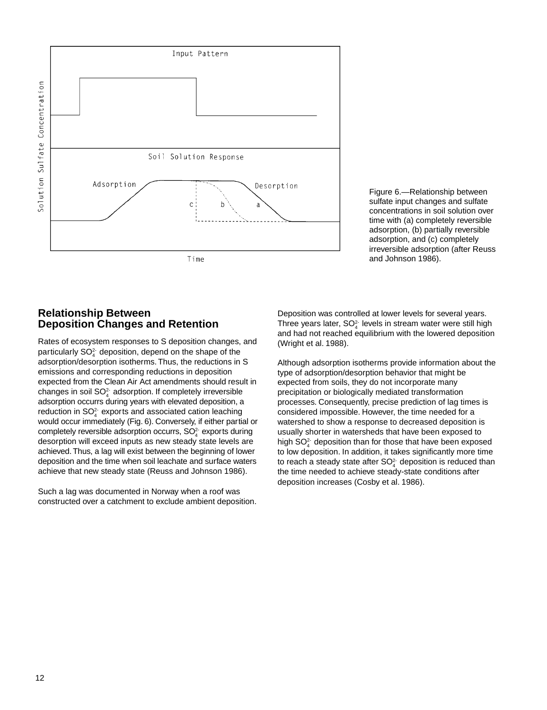

Figure 6.—Relationship between sulfate input changes and sulfate concentrations in soil solution over time with (a) completely reversible adsorption, (b) partially reversible adsorption, and (c) completely irreversible adsorption (after Reuss and Johnson 1986).

## **Relationship Between Deposition Changes and Retention**

Rates of ecosystem responses to S deposition changes, and particularly  $\mathsf{SO}_4^{2}$  deposition, depend on the shape of the adsorption/desorption isotherms. Thus, the reductions in S emissions and corresponding reductions in deposition expected from the Clean Air Act amendments should result in changes in soil  $SO<sub>4</sub><sup>2</sup>$  adsorption. If completely irreversible adsorption occurrs during years with elevated deposition, a reduction in SO $_4^2$  exports and associated cation leaching would occur immediately (Fig. 6). Conversely, if either partial or completely reversible adsorption occurrs,  $SO<sub>4</sub><sup>2</sup>$  exports during desorption will exceed inputs as new steady state levels are achieved. Thus, a lag will exist between the beginning of lower deposition and the time when soil leachate and surface waters achieve that new steady state (Reuss and Johnson 1986).

Such a lag was documented in Norway when a roof was constructed over a catchment to exclude ambient deposition. Deposition was controlled at lower levels for several years. Three years later, SO $_4^2$  levels in stream water were still high and had not reached equilibrium with the lowered deposition (Wright et al. 1988).

Although adsorption isotherms provide information about the type of adsorption/desorption behavior that might be expected from soils, they do not incorporate many precipitation or biologically mediated transformation processes. Consequently, precise prediction of lag times is considered impossible. However, the time needed for a watershed to show a response to decreased deposition is usually shorter in watersheds that have been exposed to high SO $_4^2$  deposition than for those that have been exposed to low deposition. In addition, it takes significantly more time to reach a steady state after SO $_4^2$  deposition is reduced than the time needed to achieve steady-state conditions after deposition increases (Cosby et al. 1986).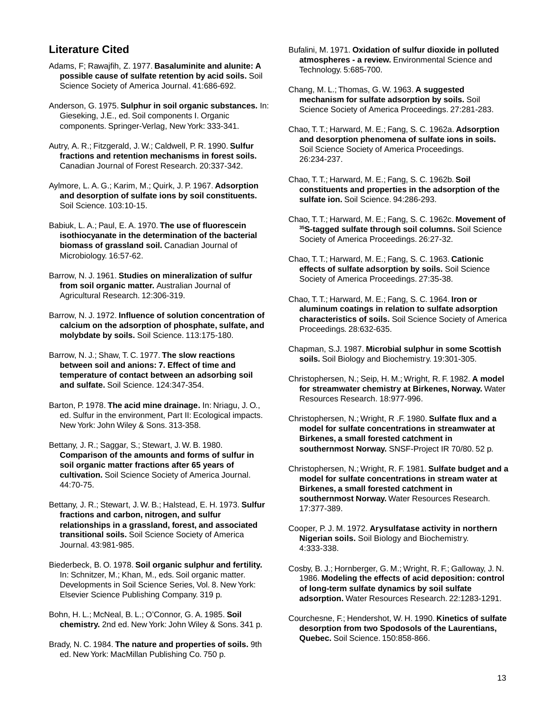# **Literature Cited**

- Adams, F; Rawajfih, Z. 1977. **Basaluminite and alunite: A possible cause of sulfate retention by acid soils.** Soil Science Society of America Journal. 41:686-692.
- Anderson, G. 1975. **Sulphur in soil organic substances.** In: Gieseking, J.E., ed. Soil components I. Organic components. Springer-Verlag, New York: 333-341.
- Autry, A. R.; Fitzgerald, J. W.; Caldwell, P. R. 1990. **Sulfur fractions and retention mechanisms in forest soils.** Canadian Journal of Forest Research. 20:337-342.
- Aylmore, L. A. G.; Karim, M.; Quirk, J. P. 1967. **Adsorption and desorption of sulfate ions by soil constituents.** Soil Science. 103:10-15.
- Babiuk, L. A.; Paul, E. A. 1970. **The use of fluorescein isothiocyanate in the determination of the bacterial biomass of grassland soil.** Canadian Journal of Microbiology. 16:57-62.
- Barrow, N. J. 1961. **Studies on mineralization of sulfur from soil organic matter.** Australian Journal of Agricultural Research. 12:306-319.
- Barrow, N. J. 1972. **Influence of solution concentration of calcium on the adsorption of phosphate, sulfate, and molybdate by soils.** Soil Science. 113:175-180.
- Barrow, N. J.; Shaw, T. C. 1977. **The slow reactions between soil and anions: 7. Effect of time and temperature of contact between an adsorbing soil and sulfate.** Soil Science. 124:347-354.
- Barton, P. 1978. **The acid mine drainage.** In: Nriagu, J. O., ed. Sulfur in the environment, Part II: Ecological impacts. New York: John Wiley & Sons. 313-358.
- Bettany, J. R.; Saggar, S.; Stewart, J. W. B. 1980. **Comparison of the amounts and forms of sulfur in soil organic matter fractions after 65 years of cultivation.** Soil Science Society of America Journal. 44:70-75.
- Bettany, J. R.; Stewart, J. W. B.; Halstead, E. H. 1973. **Sulfur fractions and carbon, nitrogen, and sulfur relationships in a grassland, forest, and associated transitional soils.** Soil Science Society of America Journal. 43:981-985.
- Biederbeck, B. O. 1978. **Soil organic sulphur and fertility.** In: Schnitzer, M.; Khan, M., eds. Soil organic matter. Developments in Soil Science Series, Vol. 8. New York: Elsevier Science Publishing Company. 319 p.
- Bohn, H. L.; McNeal, B. L.; O'Connor, G. A. 1985. **Soil chemistry.** 2nd ed. New York: John Wiley & Sons. 341 p.
- Brady, N. C. 1984. **The nature and properties of soils.** 9th ed. New York: MacMillan Publishing Co. 750 p.
- Bufalini, M. 1971. **Oxidation of sulfur dioxide in polluted atmospheres - a review.** Environmental Science and Technology. 5:685-700.
- Chang, M. L.; Thomas, G. W. 1963. **A suggested mechanism for sulfate adsorption by soils.** Soil Science Society of America Proceedings. 27:281-283.
- Chao, T. T.; Harward, M. E.; Fang, S. C. 1962a. **Adsorption and desorption phenomena of sulfate ions in soils.** Soil Science Society of America Proceedings. 26:234-237.
- Chao, T. T.; Harward, M. E.; Fang, S. C. 1962b. **Soil constituents and properties in the adsorption of the sulfate ion.** Soil Science. 94:286-293.
- Chao, T. T.; Harward, M. E.; Fang, S. C. 1962c. **Movement of 35S-tagged sulfate through soil columns.** Soil Science Society of America Proceedings. 26:27-32.
- Chao, T. T.; Harward, M. E.; Fang, S. C. 1963. **Cationic effects of sulfate adsorption by soils.** Soil Science Society of America Proceedings. 27:35-38.
- Chao, T. T.; Harward, M. E.; Fang, S. C. 1964. **Iron or aluminum coatings in relation to sulfate adsorption characteristics of soils.** Soil Science Society of America Proceedings. 28:632-635.
- Chapman, S.J. 1987. **Microbial sulphur in some Scottish soils.** Soil Biology and Biochemistry. 19:301-305.
- Christophersen, N.; Seip, H. M.; Wright, R. F. 1982. **A model for streamwater chemistry at Birkenes, Norway.** Water Resources Research. 18:977-996.
- Christophersen, N.; Wright, R .F. 1980. **Sulfate flux and a model for sulfate concentrations in streamwater at Birkenes, a small forested catchment in southernmost Norway.** SNSF-Project IR 70/80. 52 p.
- Christophersen, N.; Wright, R. F. 1981. **Sulfate budget and a model for sulfate concentrations in stream water at Birkenes, a small forested catchment in southernmost Norway.** Water Resources Research. 17:377-389.
- Cooper, P. J. M. 1972. **Arysulfatase activity in northern Nigerian soils.** Soil Biology and Biochemistry. 4:333-338.
- Cosby, B. J.; Hornberger, G. M.; Wright, R. F.; Galloway, J. N. 1986. **Modeling the effects of acid deposition: control of long-term sulfate dynamics by soil sulfate adsorption.** Water Resources Research. 22:1283-1291.
- Courchesne, F.; Hendershot, W. H. 1990. **Kinetics of sulfate desorption from two Spodosols of the Laurentians, Quebec.** Soil Science. 150:858-866.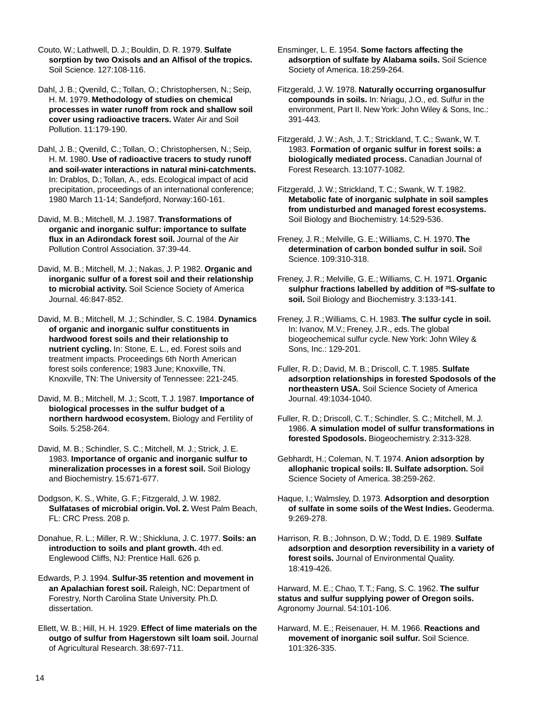Couto, W.; Lathwell, D. J.; Bouldin, D. R. 1979. **Sulfate sorption by two Oxisols and an Alfisol of the tropics.** Soil Science. 127:108-116.

Dahl, J. B.; Qvenild, C.; Tollan, O.; Christophersen, N.; Seip, H. M. 1979. **Methodology of studies on chemical processes in water runoff from rock and shallow soil cover using radioactive tracers.** Water Air and Soil Pollution. 11:179-190.

Dahl, J. B.; Qvenild, C.; Tollan, O.; Christophersen, N.; Seip, H. M. 1980. **Use of radioactive tracers to study runoff and soil-water interactions in natural mini-catchments.** In: Drablos, D.; Tollan, A., eds. Ecological impact of acid precipitation, proceedings of an international conference; 1980 March 11-14; Sandefjord, Norway:160-161.

David, M. B.; Mitchell, M. J. 1987. **Transformations of organic and inorganic sulfur: importance to sulfate flux in an Adirondack forest soil.** Journal of the Air Pollution Control Association. 37:39-44.

David, M. B.; Mitchell, M. J.; Nakas, J. P. 1982. **Organic and inorganic sulfur of a forest soil and their relationship to microbial activity.** Soil Science Society of America Journal. 46:847-852.

David, M. B.; Mitchell, M. J.; Schindler, S. C. 1984. **Dynamics of organic and inorganic sulfur constituents in hardwood forest soils and their relationship to nutrient cycling.** In: Stone, E. L., ed. Forest soils and treatment impacts. Proceedings 6th North American forest soils conference; 1983 June; Knoxville, TN. Knoxville, TN: The University of Tennessee: 221-245.

David, M. B.; Mitchell, M. J.; Scott, T. J. 1987. **Importance of biological processes in the sulfur budget of a northern hardwood ecosystem.** Biology and Fertility of Soils. 5:258-264.

David, M. B.; Schindler, S. C.; Mitchell, M. J.; Strick, J. E. 1983. **Importance of organic and inorganic sulfur to mineralization processes in a forest soil.** Soil Biology and Biochemistry. 15:671-677.

Dodgson, K. S., White, G. F.; Fitzgerald, J. W. 1982. **Sulfatases of microbial origin. Vol. 2.** West Palm Beach, FL: CRC Press. 208 p.

Donahue, R. L.; Miller, R. W.; Shickluna, J. C. 1977. **Soils: an introduction to soils and plant growth.** 4th ed. Englewood Cliffs, NJ: Prentice Hall. 626 p.

Edwards, P. J. 1994. **Sulfur-35 retention and movement in an Apalachian forest soil.** Raleigh, NC: Department of Forestry, North Carolina State University. Ph.D. dissertation.

Ellett, W. B.; Hill, H. H. 1929. **Effect of lime materials on the outgo of sulfur from Hagerstown silt loam soil.** Journal of Agricultural Research. 38:697-711.

Ensminger, L. E. 1954. **Some factors affecting the adsorption of sulfate by Alabama soils.** Soil Science Society of America. 18:259-264.

Fitzgerald, J. W. 1978. **Naturally occurring organosulfur compounds in soils.** In: Nriagu, J.O., ed. Sulfur in the environment, Part II. New York: John Wiley & Sons, Inc.: 391-443.

Fitzgerald, J. W.; Ash, J. T.; Strickland, T. C.; Swank, W. T. 1983. **Formation of organic sulfur in forest soils: a biologically mediated process.** Canadian Journal of Forest Research. 13:1077-1082.

Fitzgerald, J. W.; Strickland, T. C.; Swank, W. T. 1982. **Metabolic fate of inorganic sulphate in soil samples from undisturbed and managed forest ecosystems.** Soil Biology and Biochemistry. 14:529-536.

Freney, J. R.; Melville, G. E.; Williams, C. H. 1970. **The determination of carbon bonded sulfur in soil.** Soil Science. 109:310-318.

Freney, J. R.; Melville, G. E.; Williams, C. H. 1971. **Organic sulphur fractions labelled by addition of 35S-sulfate to soil.** Soil Biology and Biochemistry. 3:133-141.

Freney, J. R.; Williams, C. H. 1983. **The sulfur cycle in soil.** In: Ivanov, M.V.; Freney, J.R., eds. The global biogeochemical sulfur cycle. New York: John Wiley & Sons, Inc.: 129-201.

Fuller, R. D.; David, M. B.; Driscoll, C. T. 1985. **Sulfate adsorption relationships in forested Spodosols of the northeastern USA.** Soil Science Society of America Journal. 49:1034-1040.

Fuller, R. D.; Driscoll, C. T.; Schindler, S. C.; Mitchell, M. J. 1986. **A simulation model of sulfur transformations in forested Spodosols.** Biogeochemistry. 2:313-328.

Gebhardt, H.; Coleman, N. T. 1974. **Anion adsorption by allophanic tropical soils: II. Sulfate adsorption.** Soil Science Society of America. 38:259-262.

Haque, I.; Walmsley, D. 1973. **Adsorption and desorption of sulfate in some soils of the West Indies.** Geoderma. 9:269-278.

Harrison, R. B.; Johnson, D. W.; Todd, D. E. 1989. **Sulfate adsorption and desorption reversibility in a variety of forest soils.** Journal of Environmental Quality. 18:419-426.

Harward, M. E.; Chao, T. T.; Fang, S. C. 1962. **The sulfur status and sulfur supplying power of Oregon soils.** Agronomy Journal. 54:101-106.

Harward, M. E.; Reisenauer, H. M. 1966. **Reactions and movement of inorganic soil sulfur.** Soil Science. 101:326-335.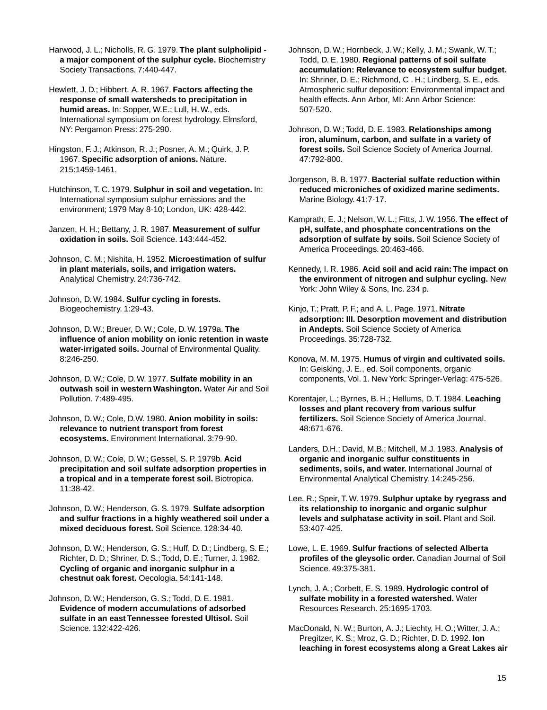Harwood, J. L.; Nicholls, R. G. 1979. **The plant sulpholipid a major component of the sulphur cycle.** Biochemistry Society Transactions. 7:440-447.

Hewlett, J. D.; Hibbert, A. R. 1967. **Factors affecting the response of small watersheds to precipitation in humid areas.** In: Sopper, W.E.; Lull, H. W., eds. International symposium on forest hydrology. Elmsford, NY: Pergamon Press: 275-290.

Hingston, F. J.; Atkinson, R. J.; Posner, A. M.; Quirk, J. P. 1967. **Specific adsorption of anions.** Nature. 215:1459-1461.

Hutchinson, T. C. 1979. **Sulphur in soil and vegetation.** In: International symposium sulphur emissions and the environment; 1979 May 8-10; London, UK: 428-442.

Janzen, H. H.; Bettany, J. R. 1987. **Measurement of sulfur oxidation in soils.** Soil Science. 143:444-452.

Johnson, C. M.; Nishita, H. 1952. **Microestimation of sulfur in plant materials, soils, and irrigation waters.** Analytical Chemistry. 24:736-742.

Johnson, D. W. 1984. **Sulfur cycling in forests.** Biogeochemistry. 1:29-43.

Johnson, D. W.; Breuer, D. W.; Cole, D. W. 1979a. **The influence of anion mobility on ionic retention in waste water-irrigated soils.** Journal of Environmental Quality. 8:246-250.

Johnson, D. W.; Cole, D. W. 1977. **Sulfate mobility in an outwash soil in western Washington.** Water Air and Soil Pollution. 7:489-495.

Johnson, D. W.; Cole, D.W. 1980. **Anion mobility in soils: relevance to nutrient transport from forest ecosystems.** Environment International. 3:79-90.

Johnson, D. W.; Cole, D. W.; Gessel, S. P. 1979b. **Acid precipitation and soil sulfate adsorption properties in a tropical and in a temperate forest soil.** Biotropica. 11:38-42.

Johnson, D. W.; Henderson, G. S. 1979. **Sulfate adsorption and sulfur fractions in a highly weathered soil under a mixed deciduous forest.** Soil Science. 128:34-40.

Johnson, D. W.; Henderson, G. S.; Huff, D. D.; Lindberg, S. E.; Richter, D. D.; Shriner, D. S.; Todd, D. E.; Turner, J. 1982. **Cycling of organic and inorganic sulphur in a chestnut oak forest.** Oecologia. 54:141-148.

Johnson, D. W.; Henderson, G. S.; Todd, D. E. 1981. **Evidence of modern accumulations of adsorbed sulfate in an east Tennessee forested Ultisol.** Soil Science. 132:422-426.

Johnson, D. W.; Hornbeck, J. W.; Kelly, J. M.; Swank, W. T.; Todd, D. E. 1980. **Regional patterns of soil sulfate accumulation: Relevance to ecosystem sulfur budget.** In: Shriner, D. E.; Richmond, C . H.; Lindberg, S. E., eds. Atmospheric sulfur deposition: Environmental impact and health effects. Ann Arbor, MI: Ann Arbor Science: 507-520.

Johnson, D. W.; Todd, D. E. 1983. **Relationships among iron, aluminum, carbon, and sulfate in a variety of forest soils.** Soil Science Society of America Journal. 47:792-800.

Jorgenson, B. B. 1977. **Bacterial sulfate reduction within reduced microniches of oxidized marine sediments.** Marine Biology. 41:7-17.

Kamprath, E. J.; Nelson, W. L.; Fitts, J. W. 1956. **The effect of pH, sulfate, and phosphate concentrations on the adsorption of sulfate by soils.** Soil Science Society of America Proceedings. 20:463-466.

Kennedy, I. R. 1986. **Acid soil and acid rain: The impact on the environment of nitrogen and sulphur cycling.** New York: John Wiley & Sons, Inc. 234 p.

Kinjo, T.; Pratt, P. F.; and A. L. Page. 1971. **Nitrate adsorption: III. Desorption movement and distribution in Andepts.** Soil Science Society of America Proceedings. 35:728-732.

Konova, M. M. 1975. **Humus of virgin and cultivated soils.** In: Geisking, J. E., ed. Soil components, organic components, Vol. 1. New York: Springer-Verlag: 475-526.

Korentajer, L.; Byrnes, B. H.; Hellums, D. T. 1984. **Leaching losses and plant recovery from various sulfur fertilizers.** Soil Science Society of America Journal. 48:671-676.

Landers, D.H.; David, M.B.; Mitchell, M.J. 1983. **Analysis of organic and inorganic sulfur constituents in sediments, soils, and water.** International Journal of Environmental Analytical Chemistry. 14:245-256.

Lee, R.; Speir, T. W. 1979. **Sulphur uptake by ryegrass and its relationship to inorganic and organic sulphur levels and sulphatase activity in soil.** Plant and Soil. 53:407-425.

Lowe, L. E. 1969. **Sulfur fractions of selected Alberta profiles of the gleysolic order.** Canadian Journal of Soil Science. 49:375-381.

Lynch, J. A.; Corbett, E. S. 1989. **Hydrologic control of sulfate mobility in a forested watershed.** Water Resources Research. 25:1695-1703.

MacDonald, N. W.; Burton, A. J.; Liechty, H. O.; Witter, J. A.; Pregitzer, K. S.; Mroz, G. D.; Richter, D. D. 1992. **Ion leaching in forest ecosystems along a Great Lakes air**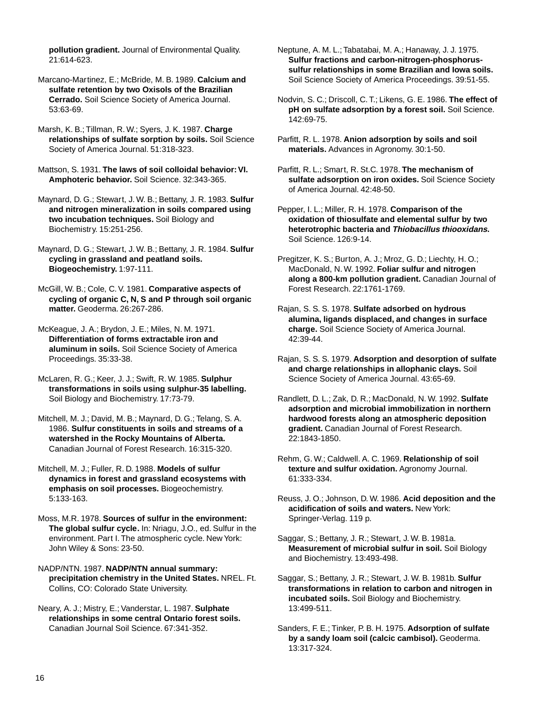**pollution gradient.** Journal of Environmental Quality. 21:614-623.

Marcano-Martinez, E.; McBride, M. B. 1989. **Calcium and sulfate retention by two Oxisols of the Brazilian Cerrado.** Soil Science Society of America Journal. 53:63-69.

Marsh, K. B.; Tillman, R. W.; Syers, J. K. 1987. **Charge relationships of sulfate sorption by soils.** Soil Science Society of America Journal. 51:318-323.

Mattson, S. 1931. **The laws of soil colloidal behavior: VI. Amphoteric behavior.** Soil Science. 32:343-365.

Maynard, D. G.; Stewart, J. W. B.; Bettany, J. R. 1983. **Sulfur and nitrogen mineralization in soils compared using two incubation techniques.** Soil Biology and Biochemistry. 15:251-256.

Maynard, D. G.; Stewart, J. W. B.; Bettany, J. R. 1984. **Sulfur cycling in grassland and peatland soils. Biogeochemistry.** 1:97-111.

McGill, W. B.; Cole, C. V. 1981. **Comparative aspects of cycling of organic C, N, S and P through soil organic matter.** Geoderma. 26:267-286.

McKeague, J. A.; Brydon, J. E.; Miles, N. M. 1971. **Differentiation of forms extractable iron and aluminum in soils.** Soil Science Society of America Proceedings. 35:33-38.

McLaren, R. G.; Keer, J. J.; Swift, R. W. 1985. **Sulphur transformations in soils using sulphur-35 labelling.** Soil Biology and Biochemistry. 17:73-79.

Mitchell, M. J.; David, M. B.; Maynard, D. G.; Telang, S. A. 1986. **Sulfur constituents in soils and streams of a watershed in the Rocky Mountains of Alberta.** Canadian Journal of Forest Research. 16:315-320.

Mitchell, M. J.; Fuller, R. D. 1988. **Models of sulfur dynamics in forest and grassland ecosystems with emphasis on soil processes.** Biogeochemistry. 5:133-163.

Moss, M.R. 1978. **Sources of sulfur in the environment: The global sulfur cycle.** In: Nriagu, J.O., ed. Sulfur in the environment. Part I. The atmospheric cycle. New York: John Wiley & Sons: 23-50.

NADP/NTN. 1987. **NADP/NTN annual summary: precipitation chemistry in the United States.** NREL. Ft. Collins, CO: Colorado State University.

Neary, A. J.; Mistry, E.; Vanderstar, L. 1987. **Sulphate relationships in some central Ontario forest soils.** Canadian Journal Soil Science. 67:341-352.

Neptune, A. M. L.; Tabatabai, M. A.; Hanaway, J. J. 1975. **Sulfur fractions and carbon-nitrogen-phosphorussulfur relationships in some Brazilian and Iowa soils.** Soil Science Society of America Proceedings. 39:51-55.

Nodvin, S. C.; Driscoll, C. T.; Likens, G. E. 1986. **The effect of pH on sulfate adsorption by a forest soil.** Soil Science. 142:69-75.

Parfitt, R. L. 1978. **Anion adsorption by soils and soil materials.** Advances in Agronomy. 30:1-50.

Parfitt, R. L.; Smart, R. St.C. 1978. **The mechanism of sulfate adsorption on iron oxides.** Soil Science Society of America Journal. 42:48-50.

Pepper, I. L.; Miller, R. H. 1978. **Comparison of the oxidation of thiosulfate and elemental sulfur by two heterotrophic bacteria and Thiobacillus thiooxidans.** Soil Science. 126:9-14.

Pregitzer, K. S.; Burton, A. J.; Mroz, G. D.; Liechty, H. O.; MacDonald, N. W. 1992. **Foliar sulfur and nitrogen along a 800-km pollution gradient.** Canadian Journal of Forest Research. 22:1761-1769.

Rajan, S. S. S. 1978. **Sulfate adsorbed on hydrous alumina, ligands displaced, and changes in surface charge.** Soil Science Society of America Journal. 42:39-44.

Rajan, S. S. S. 1979. **Adsorption and desorption of sulfate and charge relationships in allophanic clays.** Soil Science Society of America Journal. 43:65-69.

Randlett, D. L.; Zak, D. R.; MacDonald, N. W. 1992. **Sulfate adsorption and microbial immobilization in northern hardwood forests along an atmospheric deposition gradient.** Canadian Journal of Forest Research. 22:1843-1850.

Rehm, G. W.; Caldwell. A. C. 1969. **Relationship of soil texture and sulfur oxidation.** Agronomy Journal. 61:333-334.

Reuss, J. O.; Johnson, D. W. 1986. **Acid deposition and the acidification of soils and waters.** New York: Springer-Verlag. 119 p.

Saggar, S.; Bettany, J. R.; Stewart, J. W. B. 1981a. **Measurement of microbial sulfur in soil.** Soil Biology and Biochemistry. 13:493-498.

Saggar, S.; Bettany, J. R.; Stewart, J. W. B. 1981b. **Sulfur transformations in relation to carbon and nitrogen in incubated soils.** Soil Biology and Biochemistry. 13:499-511.

Sanders, F. E.; Tinker, P. B. H. 1975. **Adsorption of sulfate by a sandy loam soil (calcic cambisol).** Geoderma. 13:317-324.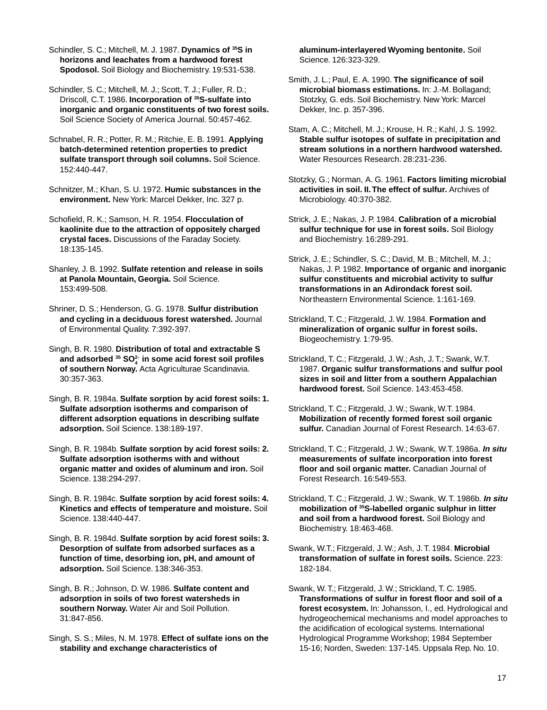Schindler, S. C.; Mitchell, M. J. 1987. **Dynamics of 35S in horizons and leachates from a hardwood forest Spodosol.** Soil Biology and Biochemistry. 19:531-538.

Schindler, S. C.; Mitchell, M. J.; Scott, T. J.; Fuller, R. D.; Driscoll, C.T. 1986. **Incorporation of 35S-sulfate into inorganic and organic constituents of two forest soils.** Soil Science Society of America Journal. 50:457-462.

Schnabel, R. R.; Potter, R. M.; Ritchie, E. B. 1991. **Applying batch-determined retention properties to predict sulfate transport through soil columns.** Soil Science. 152:440-447.

Schnitzer, M.; Khan, S. U. 1972. **Humic substances in the environment.** New York: Marcel Dekker, Inc. 327 p.

Schofield, R. K.; Samson, H. R. 1954. **Flocculation of kaolinite due to the attraction of oppositely charged crystal faces.** Discussions of the Faraday Society. 18:135-145.

Shanley, J. B. 1992. **Sulfate retention and release in soils at Panola Mountain, Georgia.** Soil Science. 153:499-508.

Shriner, D. S.; Henderson, G. G. 1978. **Sulfur distribution and cycling in a deciduous forest watershed.** Journal of Environmental Quality. 7:392-397.

Singh, B. R. 1980. **Distribution of total and extractable S and adsorbed 35 SO2- 4 in some acid forest soil profiles of southern Norway.** Acta Agriculturae Scandinavia. 30:357-363.

Singh, B. R. 1984a. **Sulfate sorption by acid forest soils: 1. Sulfate adsorption isotherms and comparison of different adsorption equations in describing sulfate adsorption.** Soil Science. 138:189-197.

Singh, B. R. 1984b. **Sulfate sorption by acid forest soils: 2. Sulfate adsorption isotherms with and without organic matter and oxides of aluminum and iron.** Soil Science. 138:294-297.

Singh, B. R. 1984c. **Sulfate sorption by acid forest soils: 4. Kinetics and effects of temperature and moisture.** Soil Science. 138:440-447.

Singh, B. R. 1984d. **Sulfate sorption by acid forest soils: 3. Desorption of sulfate from adsorbed surfaces as a function of time, desorbing ion, pH, and amount of adsorption.** Soil Science. 138:346-353.

Singh, B. R.; Johnson, D. W. 1986. **Sulfate content and adsorption in soils of two forest watersheds in southern Norway.** Water Air and Soil Pollution. 31:847-856.

Singh, S. S.; Miles, N. M. 1978. **Effect of sulfate ions on the stability and exchange characteristics of**

**aluminum-interlayered Wyoming bentonite.** Soil Science. 126:323-329.

Smith, J. L.; Paul, E. A. 1990. **The significance of soil microbial biomass estimations.** In: J.-M. Bollagand; Stotzky, G. eds. Soil Biochemistry. New York: Marcel Dekker, Inc. p. 357-396.

Stam, A. C.; Mitchell, M. J.; Krouse, H. R.; Kahl, J. S. 1992. **Stable sulfur isotopes of sulfate in precipitation and stream solutions in a northern hardwood watershed.** Water Resources Research. 28:231-236.

Stotzky, G.; Norman, A. G. 1961. **Factors limiting microbial activities in soil. II. The effect of sulfur.** Archives of Microbiology. 40:370-382.

Strick, J. E.; Nakas, J. P. 1984. **Calibration of a microbial sulfur technique for use in forest soils.** Soil Biology and Biochemistry. 16:289-291.

Strick, J. E.; Schindler, S. C.; David, M. B.; Mitchell, M. J.; Nakas, J. P. 1982. **Importance of organic and inorganic sulfur constituents and microbial activity to sulfur transformations in an Adirondack forest soil.** Northeastern Environmental Science. 1:161-169.

Strickland, T. C.; Fitzgerald, J. W. 1984. **Formation and mineralization of organic sulfur in forest soils.** Biogeochemistry. 1:79-95.

Strickland, T. C.; Fitzgerald, J. W.; Ash, J. T.; Swank, W.T. 1987. **Organic sulfur transformations and sulfur pool sizes in soil and litter from a southern Appalachian hardwood forest.** Soil Science. 143:453-458.

Strickland, T. C.; Fitzgerald, J. W.; Swank, W.T. 1984. **Mobilization of recently formed forest soil organic sulfur.** Canadian Journal of Forest Research. 14:63-67.

Strickland, T. C.; Fitzgerald, J. W.; Swank, W.T. 1986a. **In situ measurements of sulfate incorporation into forest floor and soil organic matter.** Canadian Journal of Forest Research. 16:549-553.

Strickland, T. C.; Fitzgerald, J. W.; Swank, W. T. 1986b. **In situ mobilization of 35S-labelled organic sulphur in litter and soil from a hardwood forest.** Soil Biology and Biochemistry. 18:463-468.

Swank, W.T.; Fitzgerald, J. W.; Ash, J. T. 1984. **Microbial transformation of sulfate in forest soils.** Science. 223: 182-184.

Swank, W. T.; Fitzgerald, J. W.; Strickland, T. C. 1985. **Transformations of sulfur in forest floor and soil of a forest ecosystem.** In: Johansson, I., ed. Hydrological and hydrogeochemical mechanisms and model approaches to the acidification of ecological systems. International Hydrological Programme Workshop; 1984 September 15-16; Norden, Sweden: 137-145. Uppsala Rep. No. 10.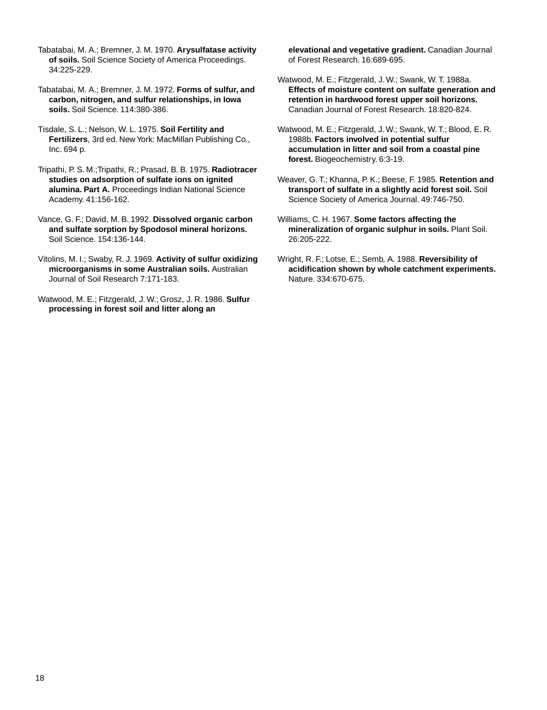Tabatabai, M. A.; Bremner, J. M. 1970. **Arysulfatase activity of soils.** Soil Science Society of America Proceedings. 34:225-229.

Tabatabai, M. A.; Bremner, J. M. 1972. **Forms of sulfur, and carbon, nitrogen, and sulfur relationships, in Iowa soils.** Soil Science. 114:380-386.

Tisdale, S. L.; Nelson, W. L. 1975. **Soil Fertility and Fertilizers**, 3rd ed. New York: MacMillan Publishing Co., Inc. 694 p.

Tripathi, P. S. M.;Tripathi, R.; Prasad, B. B. 1975. **Radiotracer studies on adsorption of sulfate ions on ignited alumina. Part A.** Proceedings Indian National Science Academy. 41:156-162.

Vance, G. F.; David, M. B. 1992. **Dissolved organic carbon and sulfate sorption by Spodosol mineral horizons.** Soil Science. 154:136-144.

Vitolins, M. I.; Swaby, R. J. 1969. **Activity of sulfur oxidizing microorganisms in some Australian soils.** Australian Journal of Soil Research 7:171-183.

Watwood, M. E.; Fitzgerald, J. W.; Grosz, J. R. 1986. **Sulfur processing in forest soil and litter along an**

**elevational and vegetative gradient.** Canadian Journal of Forest Research. 16:689-695.

Watwood, M. E.; Fitzgerald, J. W.; Swank, W. T. 1988a. **Effects of moisture content on sulfate generation and retention in hardwood forest upper soil horizons.** Canadian Journal of Forest Research. 18:820-824.

Watwood, M. E.; Fitzgerald, J. W.; Swank, W. T.; Blood, E. R. 1988b. **Factors involved in potential sulfur accumulation in litter and soil from a coastal pine forest.** Biogeochemistry. 6:3-19.

Weaver, G. T.; Khanna, P. K.; Beese, F. 1985. **Retention and transport of sulfate in a slightly acid forest soil.** Soil Science Society of America Journal. 49:746-750.

Williams, C. H. 1967. **Some factors affecting the mineralization of organic sulphur in soils.** Plant Soil. 26:205-222.

Wright, R. F.; Lotse, E.; Semb, A. 1988. **Reversibility of acidification shown by whole catchment experiments.** Nature. 334:670-675.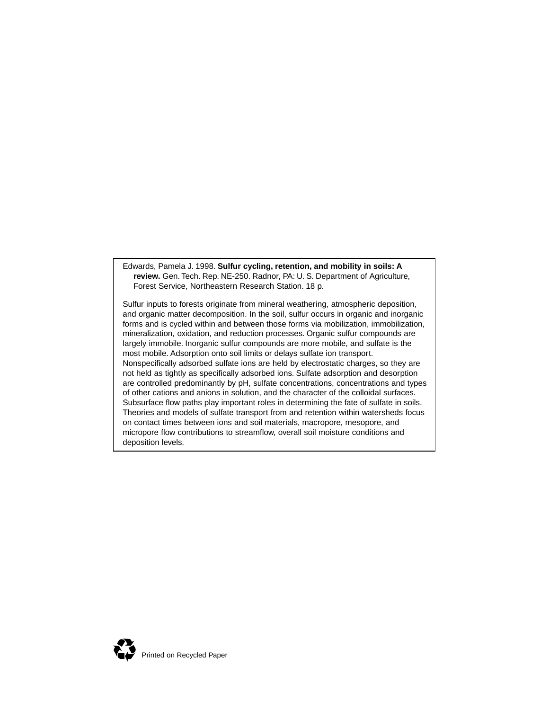Edwards, Pamela J. 1998. **Sulfur cycling, retention, and mobility in soils: A review.** Gen. Tech. Rep. NE-250. Radnor, PA: U. S. Department of Agriculture, Forest Service, Northeastern Research Station. 18 p.

Sulfur inputs to forests originate from mineral weathering, atmospheric deposition, and organic matter decomposition. In the soil, sulfur occurs in organic and inorganic forms and is cycled within and between those forms via mobilization, immobilization, mineralization, oxidation, and reduction processes. Organic sulfur compounds are largely immobile. Inorganic sulfur compounds are more mobile, and sulfate is the most mobile. Adsorption onto soil limits or delays sulfate ion transport. Nonspecifically adsorbed sulfate ions are held by electrostatic charges, so they are not held as tightly as specifically adsorbed ions. Sulfate adsorption and desorption are controlled predominantly by pH, sulfate concentrations, concentrations and types of other cations and anions in solution, and the character of the colloidal surfaces. Subsurface flow paths play important roles in determining the fate of sulfate in soils. Theories and models of sulfate transport from and retention within watersheds focus on contact times between ions and soil materials, macropore, mesopore, and micropore flow contributions to streamflow, overall soil moisture conditions and deposition levels.